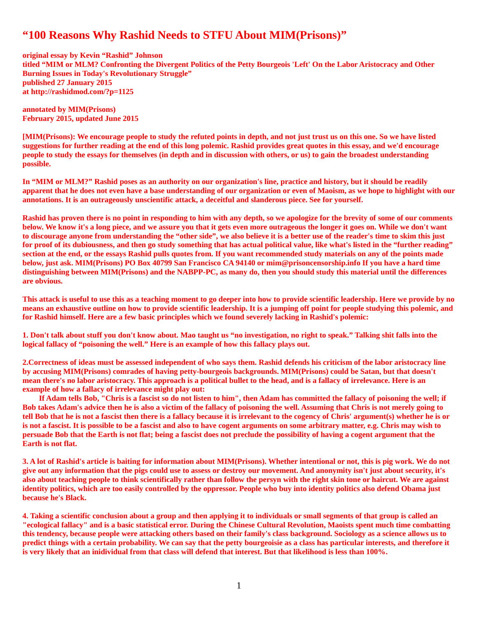# **"100 Reasons Why Rashid Needs to STFU About MIM(Prisons)"**

**original essay by Kevin "Rashid" Johnson titled "MIM or MLM? Confronting the Divergent Politics of the Petty Bourgeois 'Left' On the Labor Aristocracy and Other Burning Issues in Today's Revolutionary Struggle" published 27 January 2015 at http://rashidmod.com/?p=1125**

**annotated by MIM(Prisons) February 2015, updated June 2015**

**[MIM(Prisons): We encourage people to study the refuted points in depth, and not just trust us on this one. So we have listed suggestions for further reading at the end of this long polemic. Rashid provides great quotes in this essay, and we'd encourage people to study the essays for themselves (in depth and in discussion with others, or us) to gain the broadest understanding possible.**

**In "MIM or MLM?" Rashid poses as an authority on our organization's line, practice and history, but it should be readily apparent that he does not even have a base understanding of our organization or even of Maoism, as we hope to highlight with our annotations. It is an outrageously unscientific attack, a deceitful and slanderous piece. See for yourself.**

**Rashid has proven there is no point in responding to him with any depth, so we apologize for the brevity of some of our comments below. We know it's a long piece, and we assure you that it gets even more outrageous the longer it goes on. While we don't want to discourage anyone from understanding the "other side", we also believe it is a better use of the reader's time to skim this just for proof of its dubiousness, and then go study something that has actual political value, like what's listed in the "further reading" section at the end, or the essays Rashid pulls quotes from. If you want recommended study materials on any of the points made below, just ask. MIM(Prisons) PO Box 40799 San Francisco CA 94140 or mim@prisoncensorship.info If you have a hard time distinguishing between MIM(Prisons) and the NABPP-PC, as many do, then you should study this material until the differences are obvious.**

**This attack is useful to use this as a teaching moment to go deeper into how to provide scientific leadership. Here we provide by no means an exhaustive outline on how to provide scientific leadership. It is a jumping off point for people studying this polemic, and for Rashid himself. Here are a few basic principles which we found severely lacking in Rashid's polemic:**

**1. Don't talk about stuff you don't know about. Mao taught us "no investigation, no right to speak." Talking shit falls into the logical fallacy of "poisoning the well." Here is an example of how this fallacy plays out.** 

**2.Correctness of ideas must be assessed independent of who says them. Rashid defends his criticism of the labor aristocracy line by accusing MIM(Prisons) comrades of having petty-bourgeois backgrounds. MIM(Prisons) could be Satan, but that doesn't mean there's no labor aristocracy. This approach is a political bullet to the head, and is a fallacy of irrelevance. Here is an example of how a fallacy of irrelevance might play out:**

**If Adam tells Bob, "Chris is a fascist so do not listen to him", then Adam has committed the fallacy of poisoning the well; if Bob takes Adam's advice then he is also a victim of the fallacy of poisoning the well. Assuming that Chris is not merely going to tell Bob that he is not a fascist then there is a fallacy because it is irrelevant to the cogency of Chris' argument(s) whether he is or is not a fascist. It is possible to be a fascist and also to have cogent arguments on some arbitrary matter, e.g. Chris may wish to persuade Bob that the Earth is not flat; being a fascist does not preclude the possibility of having a cogent argument that the Earth is not flat.**

**3. A lot of Rashid's article is baiting for information about MIM(Prisons). Whether intentional or not, this is pig work. We do not give out any information that the pigs could use to assess or destroy our movement. And anonymity isn't just about security, it's also about teaching people to think scientifically rather than follow the persyn with the right skin tone or haircut. We are against identity politics, which are too easily controlled by the oppressor. People who buy into identity politics also defend Obama just because he's Black.**

**4. Taking a scientific conclusion about a group and then applying it to individuals or small segments of that group is called an "ecological fallacy" and is a basic statistical error. During the Chinese Cultural Revolution, Maoists spent much time combatting this tendency, because people were attacking others based on their family's class background. Sociology as a science allows us to predict things with a certain probability. We can say that the petty bourgeoisie as a class has particular interests, and therefore it is very likely that an inidividual from that class will defend that interest. But that likelihood is less than 100%.**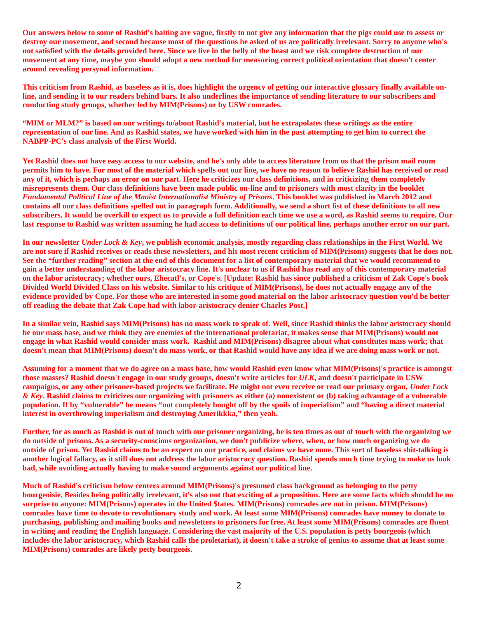**Our answers below to some of Rashid's baiting are vague, firstly to not give any information that the pigs could use to assess or destroy our movement, and second because most of the questions he asked of us are politically irrelevant. Sorry to anyone who's not satisfied with the details provided here. Since we live in the belly of the beast and we risk complete destruction of our movement at any time, maybe you should adopt a new method for measuring correct political orientation that doesn't center around revealing persynal information.**

**This criticism from Rashid, as baseless as it is, does highlight the urgency of getting our interactive glossary finally available online, and sending it to our readers behind bars. It also underlines the importance of sending literature to our subscribers and conducting study groups, whether led by MIM(Prisons) or by USW comrades.**

**"MIM or MLM?" is based on our writings to/about Rashid's material, but he extrapolates these writings as the entire representation of our line. And as Rashid states, we have worked with him in the past attempting to get him to correct the NABPP-PC's class analysis of the First World.** 

**Yet Rashid does not have easy access to our website, and he's only able to access literature from us that the prison mail room permits him to have. For most of the material which spells out our line, we have no reason to believe Rashid has received or read any of it, which is perhaps an error on our part. Here he criticizes our class definitions, and in criticizing them completely misrepresents them. Our class definitions have been made public on-line and to prisoners with most clarity in the booklet**  *Fundamental Political Line of the Maoist Internationalist Ministry of Prisons***. This booklet was published in March 2012 and contains all our class definitions spelled out in paragraph form. Additionally, we send a short list of these definitions to all new subscribers. It would be overkill to expect us to provide a full definition each time we use a word, as Rashid seems to require. Our last response to Rashid was written assuming he had access to definitions of our political line, perhaps another error on our part.**

**In our newsletter** *Under Lock & Key***, we publish economic analysis, mostly regarding class relationships in the First World. We are not sure if Rashid receives or reads these newsletters, and his most recent criticism of MIM(Prisons) suggests that he does not. See the "further reading" section at the end of this document for a list of contemporary material that we would recommend to gain a better understanding of the labor aristocracy line. It's unclear to us if Rashid has read any of this contemporary material on the labor aristocracy; whether ours, Ehecatl's, or Cope's. [Update: Rashid has since published a criticism of Zak Cope's book Divided World Divided Class on his website. Similar to his critique of MIM(Prisons), he does not actually engage any of the evidence provided by Cope. For those who are interested in some good material on the labor aristocracy question you'd be better off reading the debate that Zak Cope had with labor-aristocracy denier Charles Post.]**

**In a similar vein, Rashid says MIM(Prisons) has no mass work to speak of. Well, since Rashid thinks the labor aristocracy should be our mass base, and we think they are enemies of the international proletariat, it makes sense that MIM(Prisons) would not engage in what Rashid would consider mass work. Rashid and MIM(Prisons) disagree about what constitutes mass work; that doesn't mean that MIM(Prisons) doesn't do mass work, or that Rashid would have any idea if we are doing mass work or not.**

**Assuming for a moment that we do agree on a mass base, how would Rashid even know what MIM(Prisons)'s practice is amongst those masses? Rashid doesn't engage in our study groups, doesn't write articles for** *ULK***, and doesn't participate in USW campaigns, or any other prisoner-based projects we facilitate. He might not even receive or read our primary organ,** *Under Lock & Key***. Rashid claims to criticizes our organizing with prisoners as either (a) nonexistent or (b) taking advantage of a vulnerable population. If by "vulnerable" he means "not completely bought off by the spoils of imperialism" and "having a direct material interest in overthrowing imperialism and destroying Amerikkka," then yeah.**

**Further, for as much as Rashid is out of touch with our prisoner organizing, he is ten times as out of touch with the organizing we do outside of prisons. As a security-conscious organization, we don't publicize where, when, or how much organizing we do outside of prison. Yet Rashid claims to be an expert on our practice, and claims we have none. This sort of baseless shit-talking is another logical fallacy, as it still does not address the labor aristocracy question. Rashid spends much time trying to make us look bad, while avoiding actually having to make sound arguments against our political line.**

**Much of Rashid's criticism below centers around MIM(Prisons)'s presumed class background as belonging to the petty bourgeoisie. Besides being politically irrelevant, it's also not that exciting of a proposition. Here are some facts which should be no surprise to anyone: MIM(Prisons) operates in the United \$tates. MIM(Prisons) comrades are not in prison. MIM(Prisons) comrades have time to devote to revolutionary study and work. At least some MIM(Prisons) comrades have money to donate to purchasing, publishing and mailing books and newsletters to prisoners for free. At least some MIM(Prisons) comrades are fluent in writing and reading the English language. Considering the vast majority of the U.\$. population is petty bourgeois (which includes the labor aristocracy, which Rashid calls the proletariat), it doesn't take a stroke of genius to assume that at least some MIM(Prisons) comrades are likely petty bourgeois.**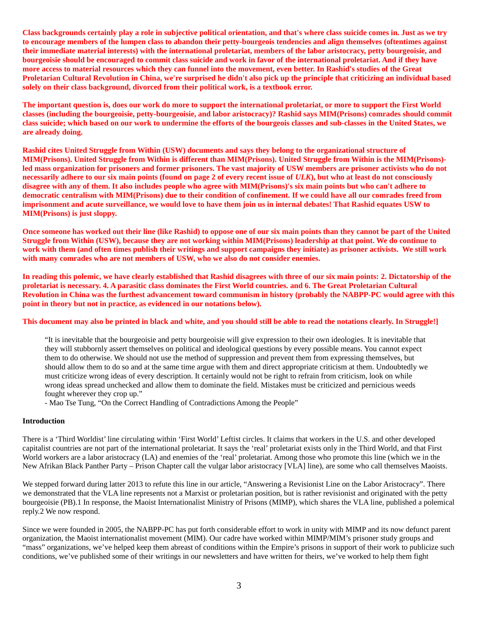**Class backgrounds certainly play a role in subjective political orientation, and that's where class suicide comes in. Just as we try to encourage members of the lumpen class to abandon their petty-bourgeois tendencies and align themselves (oftentimes against their immediate material interests) with the international proletariat, members of the labor aristocracy, petty bourgeoisie, and bourgeoisie should be encouraged to commit class suicide and work in favor of the international proletariat. And if they have more access to material resources which they can funnel into the movement, even better. In Rashid's studies of the Great Proletarian Cultural Revolution in China, we're surprised he didn't also pick up the principle that criticizing an individual based solely on their class background, divorced from their political work, is a textbook error.**

**The important question is, does our work do more to support the international proletariat, or more to support the First World classes (including the bourgeoisie, petty-bourgeoisie, and labor aristocracy)? Rashid says MIM(Prisons) comrades should commit class suicide; which based on our work to undermine the efforts of the bourgeois classes and sub-classes in the United \$tates, we are already doing.**

**Rashid cites United Struggle from Within (USW) documents and says they belong to the organizational structure of MIM(Prisons). United Struggle from Within is different than MIM(Prisons). United Struggle from Within is the MIM(Prisons) led mass organization for prisoners and former prisoners. The vast majority of USW members are prisoner activists who do not necessarily adhere to our six main points (found on page 2 of every recent issue of** *ULK***), but who at least do not consciously disagree with any of them. It also includes people who agree with MIM(Prisons)'s six main points but who can't adhere to democratic centralism with MIM(Prisons) due to their condition of confinement. If we could have all our comrades freed from imprisonment and acute surveillance, we would love to have them join us in internal debates! That Rashid equates USW to MIM(Prisons) is just sloppy.** 

**Once someone has worked out their line (like Rashid) to oppose one of our six main points than they cannot be part of the United Struggle from Within (USW), because they are not working within MIM(Prisons) leadership at that point. We do continue to work with them (and often times publish their writings and support campaigns they initiate) as prisoner activists. We still work with many comrades who are not members of USW, who we also do not consider enemies.** 

**In reading this polemic, we have clearly established that Rashid disagrees with three of our six main points: 2. Dictatorship of the proletariat is necessary. 4. A parasitic class dominates the First World countries. and 6. The Great Proletarian Cultural Revolution in China was the furthest advancement toward communism in history (probably the NABPP-PC would agree with this point in theory but not in practice, as evidenced in our notations below).**

## **This document may also be printed in black and white, and you should still be able to read the notations clearly. In Struggle!]**

"It is inevitable that the bourgeoisie and petty bourgeoisie will give expression to their own ideologies. It is inevitable that they will stubbornly assert themselves on political and ideological questions by every possible means. You cannot expect them to do otherwise. We should not use the method of suppression and prevent them from expressing themselves, but should allow them to do so and at the same time argue with them and direct appropriate criticism at them. Undoubtedly we must criticize wrong ideas of every description. It certainly would not be right to refrain from criticism, look on while wrong ideas spread unchecked and allow them to dominate the field. Mistakes must be criticized and pernicious weeds fought wherever they crop up."

- Mao Tse Tung, "On the Correct Handling of Contradictions Among the People"

## **Introduction**

There is a 'Third Worldist' line circulating within 'First World' Leftist circles. It claims that workers in the U.S. and other developed capitalist countries are not part of the international proletariat. It says the 'real' proletariat exists only in the Third World, and that First World workers are a labor aristocracy (LA) and enemies of the 'real' proletariat. Among those who promote this line (which we in the New Afrikan Black Panther Party – Prison Chapter call the vulgar labor aristocracy [VLA] line), are some who call themselves Maoists.

We stepped forward during latter 2013 to refute this line in our article, "Answering a Revisionist Line on the Labor Aristocracy". There we demonstrated that the VLA line represents not a Marxist or proletarian position, but is rather revisionist and originated with the petty bourgeoisie (PB).1 In response, the Maoist Internationalist Ministry of Prisons (MIMP), which shares the VLA line, published a polemical reply.2 We now respond.

Since we were founded in 2005, the NABPP-PC has put forth considerable effort to work in unity with MIMP and its now defunct parent organization, the Maoist internationalist movement (MIM). Our cadre have worked within MIMP/MIM's prisoner study groups and "mass" organizations, we've helped keep them abreast of conditions within the Empire's prisons in support of their work to publicize such conditions, we've published some of their writings in our newsletters and have written for theirs, we've worked to help them fight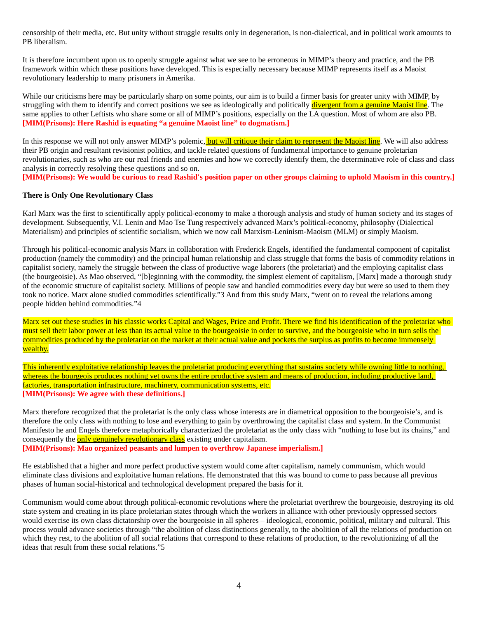censorship of their media, etc. But unity without struggle results only in degeneration, is non-dialectical, and in political work amounts to PB liberalism.

It is therefore incumbent upon us to openly struggle against what we see to be erroneous in MIMP's theory and practice, and the PB framework within which these positions have developed. This is especially necessary because MIMP represents itself as a Maoist revolutionary leadership to many prisoners in Amerika.

While our criticisms here may be particularly sharp on some points, our aim is to build a firmer basis for greater unity with MIMP, by struggling with them to identify and correct positions we see as ideologically and politically divergent from a genuine Maoist line. The same applies to other Leftists who share some or all of MIMP's positions, especially on the LA question. Most of whom are also PB. **[MIM(Prisons): Here Rashid is equating "a genuine Maoist line" to dogmatism.]**

In this response we will not only answer MIMP's polemic, but will critique their claim to represent the Maoist line. We will also address their PB origin and resultant revisionist politics, and tackle related questions of fundamental importance to genuine proletarian revolutionaries, such as who are our real friends and enemies and how we correctly identify them, the determinative role of class and class analysis in correctly resolving these questions and so on.

**[MIM(Prisons): We would be curious to read Rashid's position paper on other groups claiming to uphold Maoism in this country.]**

## **There is Only One Revolutionary Class**

Karl Marx was the first to scientifically apply political-economy to make a thorough analysis and study of human society and its stages of development. Subsequently, V.I. Lenin and Mao Tse Tung respectively advanced Marx's political-economy, philosophy (Dialectical Materialism) and principles of scientific socialism, which we now call Marxism-Leninism-Maoism (MLM) or simply Maoism.

Through his political-economic analysis Marx in collaboration with Frederick Engels, identified the fundamental component of capitalist production (namely the commodity) and the principal human relationship and class struggle that forms the basis of commodity relations in capitalist society, namely the struggle between the class of productive wage laborers (the proletariat) and the employing capitalist class (the bourgeoisie). As Mao observed, "[b]eginning with the commodity, the simplest element of capitalism, [Marx] made a thorough study of the economic structure of capitalist society. Millions of people saw and handled commodities every day but were so used to them they took no notice. Marx alone studied commodities scientifically."3 And from this study Marx, "went on to reveal the relations among people hidden behind commodities."4

Marx set out these studies in his classic works Capital and Wages, Price and Profit. There we find his identification of the proletariat who must sell their labor power at less than its actual value to the bourgeoisie in order to survive, and the bourgeoisie who in turn sells the commodities produced by the proletariat on the market at their actual value and pockets the surplus as profits to become immensely wealthy.

This inherently exploitative relationship leaves the proletariat producing everything that sustains society while owning little to nothing, whereas the bourgeois produces nothing yet owns the entire productive system and means of production, including productive land, factories, transportation infrastructure, machinery, communication systems, etc. **[MIM(Prisons): We agree with these definitions.]**

Marx therefore recognized that the proletariat is the only class whose interests are in diametrical opposition to the bourgeoisie's, and is therefore the only class with nothing to lose and everything to gain by overthrowing the capitalist class and system. In the Communist Manifesto he and Engels therefore metaphorically characterized the proletariat as the only class with "nothing to lose but its chains," and consequently the  $\frac{\text{only}}{\text{genuinely revolutionary class}}$  existing under capitalism.

**[MIM(Prisons): Mao organized peasants and lumpen to overthrow Japanese imperialism.]**

He established that a higher and more perfect productive system would come after capitalism, namely communism, which would eliminate class divisions and exploitative human relations. He demonstrated that this was bound to come to pass because all previous phases of human social-historical and technological development prepared the basis for it.

Communism would come about through political-economic revolutions where the proletariat overthrew the bourgeoisie, destroying its old state system and creating in its place proletarian states through which the workers in alliance with other previously oppressed sectors would exercise its own class dictatorship over the bourgeoisie in all spheres – ideological, economic, political, military and cultural. This process would advance societies through "the abolition of class distinctions generally, to the abolition of all the relations of production on which they rest, to the abolition of all social relations that correspond to these relations of production, to the revolutionizing of all the ideas that result from these social relations."5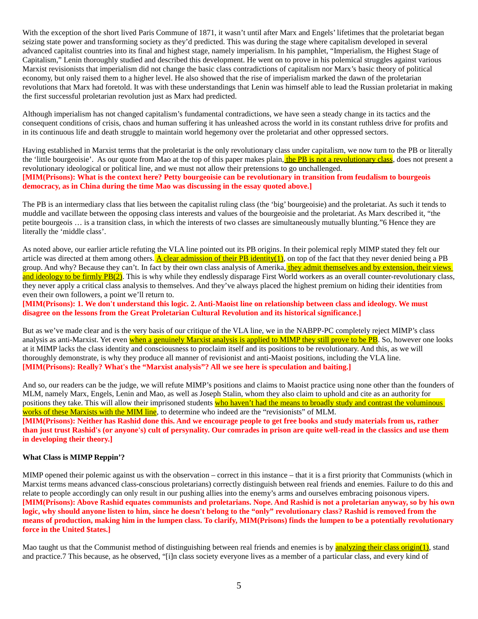With the exception of the short lived Paris Commune of 1871, it wasn't until after Marx and Engels' lifetimes that the proletariat began seizing state power and transforming society as they'd predicted. This was during the stage where capitalism developed in several advanced capitalist countries into its final and highest stage, namely imperialism. In his pamphlet, "Imperialism, the Highest Stage of Capitalism," Lenin thoroughly studied and described this development. He went on to prove in his polemical struggles against various Marxist revisionists that imperialism did not change the basic class contradictions of capitalism nor Marx's basic theory of political economy, but only raised them to a higher level. He also showed that the rise of imperialism marked the dawn of the proletarian revolutions that Marx had foretold. It was with these understandings that Lenin was himself able to lead the Russian proletariat in making the first successful proletarian revolution just as Marx had predicted.

Although imperialism has not changed capitalism's fundamental contradictions, we have seen a steady change in its tactics and the consequent conditions of crisis, chaos and human suffering it has unleashed across the world in its constant ruthless drive for profits and in its continuous life and death struggle to maintain world hegemony over the proletariat and other oppressed sectors.

Having established in Marxist terms that the proletariat is the only revolutionary class under capitalism, we now turn to the PB or literally the 'little bourgeoisie'. As our quote from Mao at the top of this paper makes plain, the PB is not a revolutionary class, does not present a revolutionary ideological or political line, and we must not allow their pretensions to go unchallenged. **[MIM(Prisons): What is the context here? Petty bourgeoisie can be revolutionary in transition from feudalism to bourgeois democracy, as in China during the time Mao was discussing in the essay quoted above.]**

The PB is an intermediary class that lies between the capitalist ruling class (the 'big' bourgeoisie) and the proletariat. As such it tends to muddle and vacillate between the opposing class interests and values of the bourgeoisie and the proletariat. As Marx described it, "the petite bourgeois … is a transition class, in which the interests of two classes are simultaneously mutually blunting."6 Hence they are literally the 'middle class'.

As noted above, our earlier article refuting the VLA line pointed out its PB origins. In their polemical reply MIMP stated they felt our article was directed at them among others. A clear admission of their PB identity(1), on top of the fact that they never denied being a PB group. And why? Because they can't. In fact by their own class analysis of Amerika, they admit themselves and by extension, their views and ideology to be firmly PB(2). This is why while they endlessly disparage First World workers as an overall counter-revolutionary class, they never apply a critical class analysis to themselves. And they've always placed the highest premium on hiding their identities from even their own followers, a point we'll return to.

**[MIM(Prisons): 1. We don't understand this logic. 2. Anti-Maoist line on relationship between class and ideology. We must disagree on the lessons from the Great Proletarian Cultural Revolution and its historical significance.]**

But as we've made clear and is the very basis of our critique of the VLA line, we in the NABPP-PC completely reject MIMP's class analysis as anti-Marxist. Yet even when a genuinely Marxist analysis is applied to MIMP they still prove to be PB. So, however one looks at it MIMP lacks the class identity and consciousness to proclaim itself and its positions to be revolutionary. And this, as we will thoroughly demonstrate, is why they produce all manner of revisionist and anti-Maoist positions, including the VLA line. **[MIM(Prisons): Really? What's the "Marxist analysis"? All we see here is speculation and baiting.]**

And so, our readers can be the judge, we will refute MIMP's positions and claims to Maoist practice using none other than the founders of MLM, namely Marx, Engels, Lenin and Mao, as well as Joseph Stalin, whom they also claim to uphold and cite as an authority for positions they take. This will allow their imprisoned students who haven't had the means to broadly study and contrast the voluminous works of these Marxists with the MIM line, to determine who indeed are the "revisionists" of MLM. **[MIM(Prisons): Neither has Rashid done this. And we encourage people to get free books and study materials from us, rather than just trust Rashid's (or anyone's) cult of persynality. Our comrades in prison are quite well-read in the classics and use them** 

# **What Class is MIMP Reppin'?**

**in developing their theory.]**

MIMP opened their polemic against us with the observation – correct in this instance – that it is a first priority that Communists (which in Marxist terms means advanced class-conscious proletarians) correctly distinguish between real friends and enemies. Failure to do this and relate to people accordingly can only result in our pushing allies into the enemy's arms and ourselves embracing poisonous vipers. **[MIM(Prisons): Above Rashid equates communists and proletarians. Nope. And Rashid is not a proletarian anyway, so by his own logic, why should anyone listen to him, since he doesn't belong to the "only" revolutionary class? Rashid is removed from the means of production, making him in the lumpen class. To clarify, MIM(Prisons) finds the lumpen to be a potentially revolutionary force in the United \$tates.]**

Mao taught us that the Communist method of distinguishing between real friends and enemies is by **analyzing their class origin(1)**, stand and practice.7 This because, as he observed, "[i]n class society everyone lives as a member of a particular class, and every kind of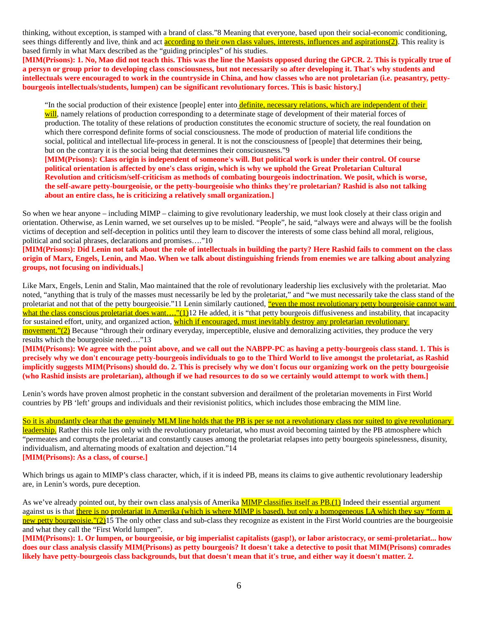thinking, without exception, is stamped with a brand of class."8 Meaning that everyone, based upon their social-economic conditioning, sees things differently and live, think and act **according to their own class values, interests, influences and aspirations(2)**. This reality is based firmly in what Marx described as the "guiding principles" of his studies.

**[MIM(Prisons): 1. No, Mao did not teach this. This was the line the Maoists opposed during the GPCR. 2. This is typically true of a persyn or group prior to developing class consciousness, but not necessarily so after developing it. That's why students and intellectuals were encouraged to work in the countryside in China, and how classes who are not proletarian (i.e. peasantry, pettybourgeois intellectuals/students, lumpen) can be significant revolutionary forces. This is basic history.]**

"In the social production of their existence [people] enter into definite, necessary relations, which are independent of their will, namely relations of production corresponding to a determinate stage of development of their material forces of production. The totality of these relations of production constitutes the economic structure of society, the real foundation on which there correspond definite forms of social consciousness. The mode of production of material life conditions the social, political and intellectual life-process in general. It is not the consciousness of [people] that determines their being, but on the contrary it is the social being that determines their consciousness."9

**[MIM(Prisons): Class origin is independent of someone's will. But political work is under their control. Of course political orientation is affected by one's class origin, which is why we uphold the Great Proletarian Cultural Revolution and criticism/self-criticism as methods of combating bourgeois indoctrination. We posit, which is worse, the self-aware petty-bourgeoisie, or the petty-bourgeoisie who thinks they're proletarian? Rashid is also not talking about an entire class, he is criticizing a relatively small organization.]**

So when we hear anyone – including MIMP – claiming to give revolutionary leadership, we must look closely at their class origin and orientation. Otherwise, as Lenin warned, we set ourselves up to be misled. "People", he said, "always were and always will be the foolish victims of deception and self-deception in politics until they learn to discover the interests of some class behind all moral, religious, political and social phrases, declarations and promises…."10

**[MIM(Prisons): Did Lenin not talk about the role of intellectuals in building the party? Here Rashid fails to comment on the class origin of Marx, Engels, Lenin, and Mao. When we talk about distinguishing friends from enemies we are talking about analyzing groups, not focusing on individuals.]**

Like Marx, Engels, Lenin and Stalin, Mao maintained that the role of revolutionary leadership lies exclusively with the proletariat. Mao noted, "anything that is truly of the masses must necessarily be led by the proletariat," and "we must necessarily take the class stand of the proletariat and not that of the petty bourgeoisie."11 Lenin similarly cautioned, "even the most revolutionary petty bourgeoisie cannot want what the class conscious proletariat does want...." $(1)$ 12 He added, it is "that petty bourgeois diffusiveness and instability, that incapacity for sustained effort, unity, and organized action, which if encouraged, must inevitably destroy any proletarian revolutionary movement."(2) Because "through their ordinary everyday, imperceptible, elusive and demoralizing activities, they produce the very results which the bourgeoisie need…."13

**[MIM(Prisons): We agree with the point above, and we call out the NABPP-PC as having a petty-bourgeois class stand. 1. This is precisely why we don't encourage petty-bourgeois individuals to go to the Third World to live amongst the proletariat, as Rashid implicitly suggests MIM(Prisons) should do. 2. This is precisely why we don't focus our organizing work on the petty bourgeoisie (who Rashid insists are proletarian), although if we had resources to do so we certainly would attempt to work with them.]**

Lenin's words have proven almost prophetic in the constant subversion and derailment of the proletarian movements in First World countries by PB 'left' groups and individuals and their revisionist politics, which includes those embracing the MIM line.

So it is abundantly clear that the genuinely MLM line holds that the PB is per se not a revolutionary class nor suited to give revolutionary leadership. Rather this role lies only with the revolutionary proletariat, who must avoid becoming tainted by the PB atmosphere which "permeates and corrupts the proletariat and constantly causes among the proletariat relapses into petty bourgeois spinelessness, disunity, individualism, and alternating moods of exaltation and dejection."14 **[MIM(Prisons): As a class, of course.]**

Which brings us again to MIMP's class character, which, if it is indeed PB, means its claims to give authentic revolutionary leadership are, in Lenin's words, pure deception.

As we've already pointed out, by their own class analysis of Amerika **MIMP classifies itself as PB.(1)** Indeed their essential argument against us is that there is no proletariat in Amerika (which is where MIMP is based), but only a homogeneous LA which they say "form a new petty bourgeoisie."(2)<sup>15</sup> The only other class and sub-class they recognize as existent in the First World countries are the bourgeoisie and what they call the "First World lumpen".

**[MIM(Prisons): 1. Or lumpen, or bourgeoisie, or big imperialist capitalists (gasp!), or labor aristocracy, or semi-proletariat... how does our class analysis classify MIM(Prisons) as petty bourgeois? It doesn't take a detective to posit that MIM(Prisons) comrades likely have petty-bourgeois class backgrounds, but that doesn't mean that it's true, and either way it doesn't matter. 2.**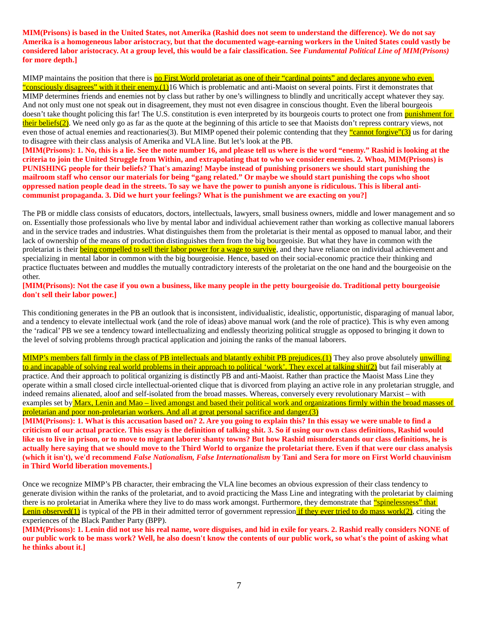**MIM(Prisons) is based in the United \$tates, not Amerika (Rashid does not seem to understand the difference). We do not say Amerika is a homogeneous labor aristocracy, but that the documented wage-earning workers in the United \$tates could vastly be considered labor aristocracy. At a group level, this would be a fair classification. See** *Fundamental Political Line of MIM(Prisons)* **for more depth.]**

MIMP maintains the position that there is **no First World proletariat as one of their "cardinal points" and declares anyone who even** "consciously disagrees" with it their enemy.(1)16 Which is problematic and anti-Maoist on several points. First it demonstrates that MIMP determines friends and enemies not by class but rather by one's willingness to blindly and uncritically accept whatever they say. And not only must one not speak out in disagreement, they must not even disagree in conscious thought. Even the liberal bourgeois doesn't take thought policing this far! The U.S. constitution is even interpreted by its bourgeois courts to protect one from **punishment for** their beliefs(2). We need only go as far as the quote at the beginning of this article to see that Maoists don't repress contrary views, not even those of actual enemies and reactionaries(3). But MIMP opened their polemic contending that they "cannot forgive"(3) us for daring to disagree with their class analysis of Amerika and VLA line. But let's look at the PB.

**[MIM(Prisons): 1. No, this is a lie. See the note number 16, and please tell us where is the word "enemy." Rashid is looking at the criteria to join the United Struggle from Within, and extrapolating that to who we consider enemies. 2. Whoa, MIM(Prisons) is PUNISHING people for their beliefs? That's amazing! Maybe instead of punishing prisoners we should start punishing the mailroom staff who censor our materials for being "gang related." Or maybe we should start punishing the cops who shoot oppressed nation people dead in the streets. To say we have the power to punish anyone is ridiculous. This is liberal anticommunist propaganda. 3. Did we hurt your feelings? What is the punishment we are exacting on you?]**

The PB or middle class consists of educators, doctors, intellectuals, lawyers, small business owners, middle and lower management and so on. Essentially those professionals who live by mental labor and individual achievement rather than working as collective manual laborers and in the service trades and industries. What distinguishes them from the proletariat is their mental as opposed to manual labor, and their lack of ownership of the means of production distinguishes them from the big bourgeoisie. But what they have in common with the proletariat is their being compelled to sell their labor power for a wage to survive, and they have reliance on individual achievement and specializing in mental labor in common with the big bourgeoisie. Hence, based on their social-economic practice their thinking and practice fluctuates between and muddles the mutually contradictory interests of the proletariat on the one hand and the bourgeoisie on the other.

**[MIM(Prisons): Not the case if you own a business, like many people in the petty bourgeoisie do. Traditional petty bourgeoisie don't sell their labor power.]**

This conditioning generates in the PB an outlook that is inconsistent, individualistic, idealistic, opportunistic, disparaging of manual labor, and a tendency to elevate intellectual work (and the role of ideas) above manual work (and the role of practice). This is why even among the 'radical' PB we see a tendency toward intellectualizing and endlessly theorizing political struggle as opposed to bringing it down to the level of solving problems through practical application and joining the ranks of the manual laborers.

MIMP's members fall firmly in the class of PB intellectuals and blatantly exhibit PB prejudices.(1) They also prove absolutely *unwilling* to and incapable of solving real world problems in their approach to political 'work'. They excel at talking shit(2) but fail miserably at practice. And their approach to political organizing is distinctly PB and anti-Maoist. Rather than practice the Maoist Mass Line they operate within a small closed circle intellectual-oriented clique that is divorced from playing an active role in any proletarian struggle, and indeed remains alienated, aloof and self-isolated from the broad masses. Whereas, conversely every revolutionary Marxist – with examples set by Marx, Lenin and Mao – lived amongst and based their political work and organizations firmly within the broad masses of proletarian and poor non-proletarian workers. And all at great personal sacrifice and danger.(3)

**[MIM(Prisons): 1. What is this accusation based on? 2. Are you going to explain this? In this essay we were unable to find a criticism of our actual practice. This essay is the definition of talking shit. 3. So if using our own class definitions, Rashid would like us to live in prison, or to move to migrant laborer shanty towns? But how Rashid misunderstands our class definitions, he is actually here saying that we should move to the Third World to organize the proletariat there. Even if that were our class analysis (which it isn't), we'd recommend** *False Nationalism, False Internationalism* **by Tani and Sera for more on First World chauvinism in Third World liberation movements.]**

Once we recognize MIMP's PB character, their embracing the VLA line becomes an obvious expression of their class tendency to generate division within the ranks of the proletariat, and to avoid practicing the Mass Line and integrating with the proletariat by claiming there is no proletariat in Amerika where they live to do mass work amongst. Furthermore, they demonstrate that "spinelessness" that **Lenin observed(1)** is typical of the PB in their admitted terror of government repression if they ever tried to do mass work(2), citing the experiences of the Black Panther Party (BPP).

**[MIM(Prisons): 1. Lenin did not use his real name, wore disguises, and hid in exile for years. 2. Rashid really considers NONE of our public work to be mass work? Well, he also doesn't know the contents of our public work, so what's the point of asking what he thinks about it.]**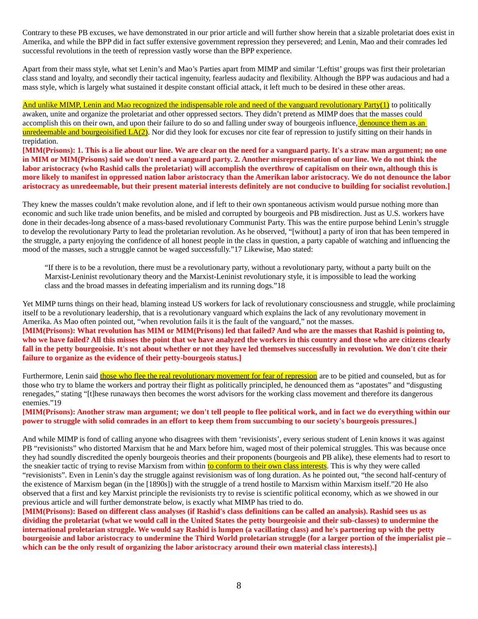Contrary to these PB excuses, we have demonstrated in our prior article and will further show herein that a sizable proletariat does exist in Amerika, and while the BPP did in fact suffer extensive government repression they persevered; and Lenin, Mao and their comrades led successful revolutions in the teeth of repression vastly worse than the BPP experience.

Apart from their mass style, what set Lenin's and Mao's Parties apart from MIMP and similar 'Leftist' groups was first their proletarian class stand and loyalty, and secondly their tactical ingenuity, fearless audacity and flexibility. Although the BPP was audacious and had a mass style, which is largely what sustained it despite constant official attack, it left much to be desired in these other areas.

And unlike MIMP, Lenin and Mao recognized the indispensable role and need of the vanguard revolutionary Party(1) to politically awaken, unite and organize the proletariat and other oppressed sectors. They didn't pretend as MIMP does that the masses could accomplish this on their own, and upon their failure to do so and falling under sway of bourgeois influence, **denounce them as an** unredeemable and bourgeoisified  $LA(2)$ . Nor did they look for excuses nor cite fear of repression to justify sitting on their hands in trepidation.

**[MIM(Prisons): 1. This is a lie about our line. We are clear on the need for a vanguard party. It's a straw man argument; no one in MIM or MIM(Prisons) said we don't need a vanguard party. 2. Another misrepresentation of our line. We do not think the labor aristocracy (who Rashid calls the proletariat) will accomplish the overthrow of capitalism on their own, although this is more likely to manifest in oppressed nation labor aristocracy than the Amerikan labor aristocracy. We do not denounce the labor aristocracy as unredeemable, but their present material interests definitely are not conducive to building for socialist revolution.]**

They knew the masses couldn't make revolution alone, and if left to their own spontaneous activism would pursue nothing more than economic and such like trade union benefits, and be misled and corrupted by bourgeois and PB misdirection. Just as U.S. workers have done in their decades-long absence of a mass-based revolutionary Communist Party. This was the entire purpose behind Lenin's struggle to develop the revolutionary Party to lead the proletarian revolution. As he observed, "[without] a party of iron that has been tempered in the struggle, a party enjoying the confidence of all honest people in the class in question, a party capable of watching and influencing the mood of the masses, such a struggle cannot be waged successfully."17 Likewise, Mao stated:

"If there is to be a revolution, there must be a revolutionary party, without a revolutionary party, without a party built on the Marxist-Leninist revolutionary theory and the Marxist-Leninist revolutionary style, it is impossible to lead the working class and the broad masses in defeating imperialism and its running dogs."18

Yet MIMP turns things on their head, blaming instead US workers for lack of revolutionary consciousness and struggle, while proclaiming itself to be a revolutionary leadership, that is a revolutionary vanguard which explains the lack of any revolutionary movement in Amerika. As Mao often pointed out, "when revolution fails it is the fault of the vanguard," not the masses. **[MIM(Prisons): What revolution has MIM or MIM(Prisons) led that failed? And who are the masses that Rashid is pointing to,** 

**who we have failed? All this misses the point that we have analyzed the workers in this country and those who are citizens clearly fall in the petty bourgeoisie. It's not about whether or not they have led themselves successfully in revolution. We don't cite their failure to organize as the evidence of their petty-bourgeois status.]**

Furthermore, Lenin said those who flee the real revolutionary movement for fear of repression are to be pitied and counseled, but as for those who try to blame the workers and portray their flight as politically principled, he denounced them as "apostates" and "disgusting renegades," stating "[t]hese runaways then becomes the worst advisors for the working class movement and therefore its dangerous enemies."19

**[MIM(Prisons): Another straw man argument; we don't tell people to flee political work, and in fact we do everything within our power to struggle with solid comrades in an effort to keep them from succumbing to our society's bourgeois pressures.]**

And while MIMP is fond of calling anyone who disagrees with them 'revisionists', every serious student of Lenin knows it was against PB "revisionists" who distorted Marxism that he and Marx before him, waged most of their polemical struggles. This was because once they had soundly discredited the openly bourgeois theories and their proponents (bourgeois and PB alike), these elements had to resort to the sneakier tactic of trying to revise Marxism from within to conform to their own class interests. This is why they were called "revisionists". Even in Lenin's day the struggle against revisionism was of long duration. As he pointed out, "the second half-century of the existence of Marxism began (in the [1890s]) with the struggle of a trend hostile to Marxism within Marxism itself."20 He also observed that a first and key Marxist principle the revisionists try to revise is scientific political economy, which as we showed in our previous article and will further demonstrate below, is exactly what MIMP has tried to do.

**[MIM(Prisons): Based on different class analyses (if Rashid's class definitions can be called an analysis). Rashid sees us as dividing the proletariat (what we would call in the United \$tates the petty bourgeoisie and their sub-classes) to undermine the international proletarian struggle. We would say Rashid is lumpen (a vacillating class) and he's partnering up with the petty bourgeoisie and labor aristocracy to undermine the Third World proletarian struggle (for a larger portion of the imperialist pie – which can be the only result of organizing the labor aristocracy around their own material class interests).]**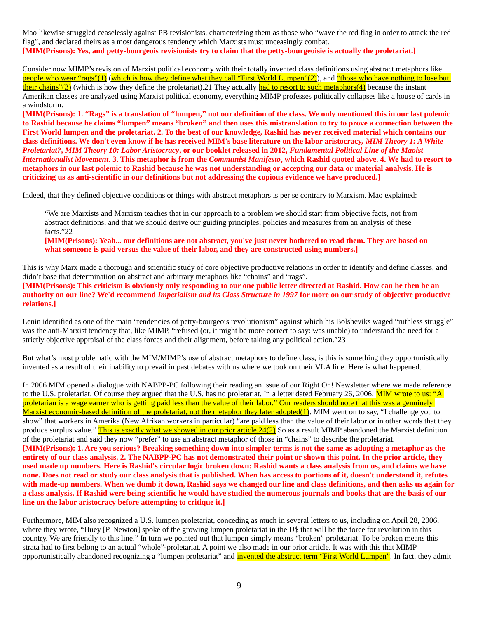Mao likewise struggled ceaselessly against PB revisionists, characterizing them as those who "wave the red flag in order to attack the red flag", and declared theirs as a most dangerous tendency which Marxists must unceasingly combat. **[MIM(Prisons): Yes, and petty-bourgeois revisionists try to claim that the petty-bourgeoisie is actually the proletariat.]**

Consider now MIMP's revision of Marxist political economy with their totally invented class definitions using abstract metaphors like people who wear "rags"(1) (which is how they define what they call "First World Lumpen"(2)), and "those who have nothing to lose but  $\frac{f_{\text{their}}}{f_{\text{their}}}\frac{f_{\text{bar}}}{f_{\text{other}}}\left(\frac{f_{\text{other}}}{f_{\text{other}}}\right)$  (which is how they define the proletariat).21 They actually **had to resort to such metaphors(4)** because the instant Amerikan classes are analyzed using Marxist political economy, everything MIMP professes politically collapses like a house of cards in a windstorm.

**[MIM(Prisons): 1. "Rags" is a translation of "lumpen," not our definition of the class. We only mentioned this in our last polemic to Rashid because he claims "lumpen" means "broken" and then uses this mistranslation to try to prove a connection between the First World lumpen and the proletariat. 2. To the best of our knowledge, Rashid has never received material which contains our class definitions. We don't even know if he has received MIM's base literature on the labor aristocracy,** *MIM Theory 1: A White Proletariat?***,** *MIM Theory 10: Labor Aristocracy***, or our booklet released in 2012,** *Fundamental Political Line of the Maoist Internationalist Movement***. 3. This metaphor is from the** *Communist Manifesto***, which Rashid quoted above. 4. We had to resort to metaphors in our last polemic to Rashid because he was not understanding or accepting our data or material analysis. He is criticizing us as anti-scientific in our definitions but not addressing the copious evidence we have produced.]**

Indeed, that they defined objective conditions or things with abstract metaphors is per se contrary to Marxism. Mao explained:

"We are Marxists and Marxism teaches that in our approach to a problem we should start from objective facts, not from abstract definitions, and that we should derive our guiding principles, policies and measures from an analysis of these facts."22

**[MIM(Prisons): Yeah... our definitions are not abstract, you've just never bothered to read them. They are based on what someone is paid versus the value of their labor, and they are constructed using numbers.]**

This is why Marx made a thorough and scientific study of core objective productive relations in order to identify and define classes, and didn't base that determination on abstract and arbitrary metaphors like "chains" and "rags". **[MIM(Prisons): This criticism is obviously only responding to our one public letter directed at Rashid. How can he then be an authority on our line? We'd recommend** *Imperialism and its Class Structure in 1997* **for more on our study of objective productive relations.]**

Lenin identified as one of the main "tendencies of petty-bourgeois revolutionism" against which his Bolsheviks waged "ruthless struggle" was the anti-Marxist tendency that, like MIMP, "refused (or, it might be more correct to say: was unable) to understand the need for a strictly objective appraisal of the class forces and their alignment, before taking any political action."23

But what's most problematic with the MIM/MIMP's use of abstract metaphors to define class, is this is something they opportunistically invented as a result of their inability to prevail in past debates with us where we took on their VLA line. Here is what happened.

In 2006 MIM opened a dialogue with NABPP-PC following their reading an issue of our Right On! Newsletter where we made reference to the U.S. proletariat. Of course they argued that the U.S. has no proletariat. In a letter dated February 26, 2006, MIM wrote to us: "A proletarian is a wage earner who is getting paid less than the value of their labor." Our readers should note that this was a genuinely Marxist economic-based definition of the proletariat, not the metaphor they later adopted(1). MIM went on to say, "I challenge you to show" that workers in Amerika (New Afrikan workers in particular) "are paid less than the value of their labor or in other words that they produce surplus value." This is exactly what we showed in our prior article.24(2) So as a result MIMP abandoned the Marxist definition of the proletariat and said they now "prefer" to use an abstract metaphor of those in "chains" to describe the proletariat. **[MIM(Prisons): 1. Are you serious? Breaking something down into simpler terms is not the same as adopting a metaphor as the entirety of our class analysis. 2. The NABPP-PC has not demonstrated their point or shown this point. In the prior article, they used made up numbers. Here is Rashid's circular logic broken down: Rashid wants a class analysis from us, and claims we have none. Does not read or study our class analysis that is published. When has access to portions of it, doesn't understand it, refutes with made-up numbers. When we dumb it down, Rashid says we changed our line and class definitions, and then asks us again for a class analysis. If Rashid were being scientific he would have studied the numerous journals and books that are the basis of our line on the labor aristocracy before attempting to critique it.]**

Furthermore, MIM also recognized a U.S. lumpen proletariat, conceding as much in several letters to us, including on April 28, 2006, where they wrote, "Huey [P. Newton] spoke of the growing lumpen proletariat in the U\$ that will be the force for revolution in this country. We are friendly to this line." In turn we pointed out that lumpen simply means "broken" proletariat. To be broken means this strata had to first belong to an actual "whole"-proletariat. A point we also made in our prior article. It was with this that MIMP opportunistically abandoned recognizing a "lumpen proletariat" and **invented the abstract term "First World Lumpen"**. In fact, they admit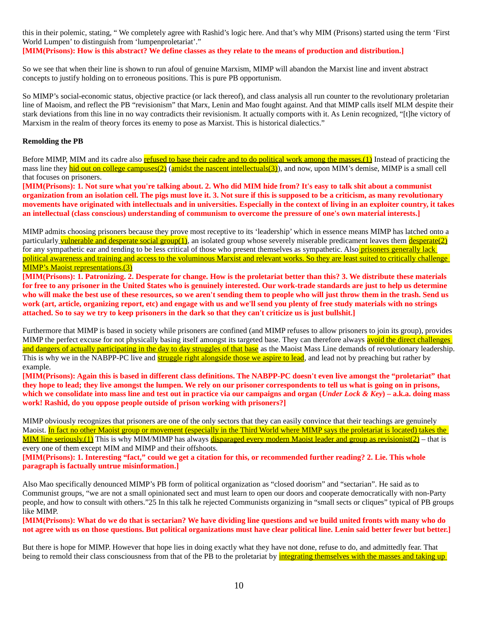this in their polemic, stating, " We completely agree with Rashid's logic here. And that's why MIM (Prisons) started using the term 'First World Lumpen' to distinguish from 'lumpenproletariat'." **[MIM(Prisons): How is this abstract? We define classes as they relate to the means of production and distribution.]**

So we see that when their line is shown to run afoul of genuine Marxism, MIMP will abandon the Marxist line and invent abstract concepts to justify holding on to erroneous positions. This is pure PB opportunism.

So MIMP's social-economic status, objective practice (or lack thereof), and class analysis all run counter to the revolutionary proletarian line of Maoism, and reflect the PB "revisionism" that Marx, Lenin and Mao fought against. And that MIMP calls itself MLM despite their stark deviations from this line in no way contradicts their revisionism. It actually comports with it. As Lenin recognized, "[t]he victory of Marxism in the realm of theory forces its enemy to pose as Marxist. This is historical dialectics."

### **Remolding the PB**

Before MIMP, MIM and its cadre also refused to base their cadre and to do political work among the masses.(1) Instead of practicing the mass line they **hid out on college campuses(2)** (amidst the nascent intellectuals(3)), and now, upon MIM's demise, MIMP is a small cell that focuses on prisoners.

**[MIM(Prisons): 1. Not sure what you're talking about. 2. Who did MIM hide from? It's easy to talk shit about a communist organization from an isolation cell. The pigs must love it. 3. Not sure if this is supposed to be a criticism, as many revolutionary movements have originated with intellectuals and in universities. Especially in the context of living in an exploiter country, it takes an intellectual (class conscious) understanding of communism to overcome the pressure of one's own material interests.]**

MIMP admits choosing prisoners because they prove most receptive to its 'leadership' which in essence means MIMP has latched onto a particularly vulnerable and desperate social group(1), an isolated group whose severely miserable predicament leaves them desperate(2) for any sympathetic ear and tending to be less critical of those who present themselves as sympathetic. Also prisoners generally lack political awareness and training and access to the voluminous Marxist and relevant works. So they are least suited to critically challenge MIMP's Maoist representations.(3)

**[MIM(Prisons): 1. Patronizing. 2. Desperate for change. How is the proletariat better than this? 3. We distribute these materials for free to any prisoner in the United \$tates who is genuinely interested. Our work-trade standards are just to help us determine who will make the best use of these resources, so we aren't sending them to people who will just throw them in the trash. Send us work (art, article, organizing report, etc) and engage with us and we'll send you plenty of free study materials with no strings attached. So to say we try to keep prisoners in the dark so that they can't criticize us is just bullshit.]**

Furthermore that MIMP is based in society while prisoners are confined (and MIMP refuses to allow prisoners to join its group), provides MIMP the perfect excuse for not physically basing itself amongst its targeted base. They can therefore always **avoid the direct challenges** and dangers of actually participating in the day to day struggles of that base as the Maoist Mass Line demands of revolutionary leadership. This is why we in the NABPP-PC live and struggle right alongside those we aspire to lead, and lead not by preaching but rather by example.

**[MIM(Prisons): Again this is based in different class definitions. The NABPP-PC doesn't even live amongst the "proletariat" that they hope to lead; they live amongst the lumpen. We rely on our prisoner correspondents to tell us what is going on in prisons, which we consolidate into mass line and test out in practice via our campaigns and organ (***Under Lock & Key***) – a.k.a. doing mass work! Rashid, do you oppose people outside of prison working with prisoners?]**

MIMP obviously recognizes that prisoners are one of the only sectors that they can easily convince that their teachings are genuinely Maoist. **In fact no other Maoist group or movement (especially in the Third World where MIMP says the proletariat is located) takes the** MIM line seriously.(1) This is why MIM/MIMP has always disparaged every modern Maoist leader and group as revisionist(2) – that is every one of them except MIM and MIMP and their offshoots.

**[MIM(Prisons): 1. Interesting "fact," could we get a citation for this, or recommended further reading? 2. Lie. This whole paragraph is factually untrue misinformation.]**

Also Mao specifically denounced MIMP's PB form of political organization as "closed doorism" and "sectarian". He said as to Communist groups, "we are not a small opinionated sect and must learn to open our doors and cooperate democratically with non-Party people, and how to consult with others."25 In this talk he rejected Communists organizing in "small sects or cliques" typical of PB groups like MIMP.

**[MIM(Prisons): What do we do that is sectarian? We have dividing line questions and we build united fronts with many who do not agree with us on those questions. But political organizations must have clear political line. Lenin said better fewer but better.]**

But there is hope for MIMP. However that hope lies in doing exactly what they have not done, refuse to do, and admittedly fear. That being to remold their class consciousness from that of the PB to the proletariat by **integrating themselves with the masses and taking up**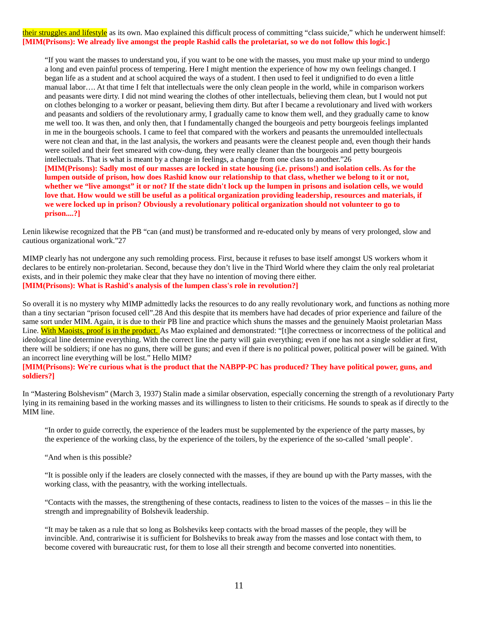their struggles and lifestyle as its own. Mao explained this difficult process of committing "class suicide," which he underwent himself: **[MIM(Prisons): We already live amongst the people Rashid calls the proletariat, so we do not follow this logic.]**

"If you want the masses to understand you, if you want to be one with the masses, you must make up your mind to undergo a long and even painful process of tempering. Here I might mention the experience of how my own feelings changed. I began life as a student and at school acquired the ways of a student. I then used to feel it undignified to do even a little manual labor…. At that time I felt that intellectuals were the only clean people in the world, while in comparison workers and peasants were dirty. I did not mind wearing the clothes of other intellectuals, believing them clean, but I would not put on clothes belonging to a worker or peasant, believing them dirty. But after I became a revolutionary and lived with workers and peasants and soldiers of the revolutionary army, I gradually came to know them well, and they gradually came to know me well too. It was then, and only then, that I fundamentally changed the bourgeois and petty bourgeois feelings implanted in me in the bourgeois schools. I came to feel that compared with the workers and peasants the unremoulded intellectuals were not clean and that, in the last analysis, the workers and peasants were the cleanest people and, even though their hands were soiled and their feet smeared with cow-dung, they were really cleaner than the bourgeois and petty bourgeois intellectuals. That is what is meant by a change in feelings, a change from one class to another."26 **[MIM(Prisons): Sadly most of our masses are locked in state housing (i.e. prisons!) and isolation cells. As for the lumpen outside of prison, how does Rashid know our relationship to that class, whether we belong to it or not, whether we "live amongst" it or not? If the state didn't lock up the lumpen in prisons and isolation cells, we would love that. How would we still be useful as a political organization providing leadership, resources and materials, if we were locked up in prison? Obviously a revolutionary political organization should not volunteer to go to prison....?]**

Lenin likewise recognized that the PB "can (and must) be transformed and re-educated only by means of very prolonged, slow and cautious organizational work."27

MIMP clearly has not undergone any such remolding process. First, because it refuses to base itself amongst US workers whom it declares to be entirely non-proletarian. Second, because they don't live in the Third World where they claim the only real proletariat exists, and in their polemic they make clear that they have no intention of moving there either. **[MIM(Prisons): What is Rashid's analysis of the lumpen class's role in revolution?]**

So overall it is no mystery why MIMP admittedly lacks the resources to do any really revolutionary work, and functions as nothing more than a tiny sectarian "prison focused cell".28 And this despite that its members have had decades of prior experience and failure of the same sort under MIM. Again, it is due to their PB line and practice which shuns the masses and the genuinely Maoist proletarian Mass Line. With Maoists, proof is in the product. As Mao explained and demonstrated: "[t]he correctness or incorrectness of the political and ideological line determine everything. With the correct line the party will gain everything; even if one has not a single soldier at first, there will be soldiers; if one has no guns, there will be guns; and even if there is no political power, political power will be gained. With an incorrect line everything will be lost." Hello MIM?

**[MIM(Prisons): We're curious what is the product that the NABPP-PC has produced? They have political power, guns, and soldiers?]**

In "Mastering Bolshevism" (March 3, 1937) Stalin made a similar observation, especially concerning the strength of a revolutionary Party lying in its remaining based in the working masses and its willingness to listen to their criticisms. He sounds to speak as if directly to the MIM line.

"In order to guide correctly, the experience of the leaders must be supplemented by the experience of the party masses, by the experience of the working class, by the experience of the toilers, by the experience of the so-called 'small people'.

"And when is this possible?

"It is possible only if the leaders are closely connected with the masses, if they are bound up with the Party masses, with the working class, with the peasantry, with the working intellectuals.

"Contacts with the masses, the strengthening of these contacts, readiness to listen to the voices of the masses – in this lie the strength and impregnability of Bolshevik leadership.

"It may be taken as a rule that so long as Bolsheviks keep contacts with the broad masses of the people, they will be invincible. And, contrariwise it is sufficient for Bolsheviks to break away from the masses and lose contact with them, to become covered with bureaucratic rust, for them to lose all their strength and become converted into nonentities.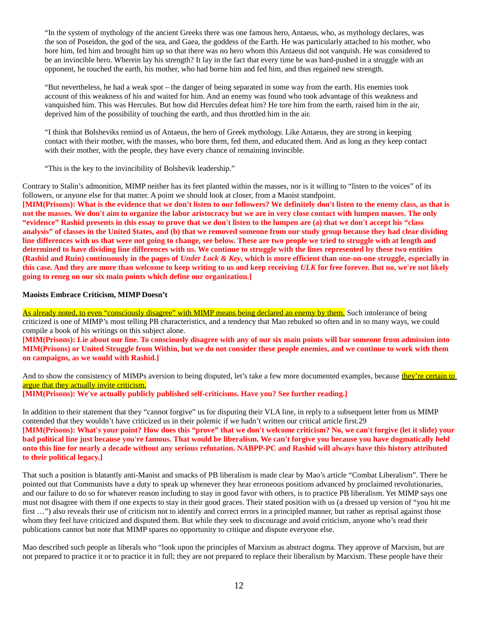"In the system of mythology of the ancient Greeks there was one famous hero, Antaeus, who, as mythology declares, was the son of Poseidon, the god of the sea, and Gaea, the goddess of the Earth. He was particularly attached to his mother, who bore him, fed him and brought him up so that there was no hero whom this Antaeus did not vanquish. He was considered to be an invincible hero. Wherein lay his strength? It lay in the fact that every time he was hard-pushed in a struggle with an opponent, he touched the earth, his mother, who had borne him and fed him, and thus regained new strength.

"But nevertheless, he had a weak spot – the danger of being separated in some way from the earth. His enemies took account of this weakness of his and waited for him. And an enemy was found who took advantage of this weakness and vanquished him. This was Hercules. But how did Hercules defeat him? He tore him from the earth, raised him in the air, deprived him of the possibility of touching the earth, and thus throttled him in the air.

"I think that Bolsheviks remind us of Antaeus, the hero of Greek mythology. Like Antaeus, they are strong in keeping contact with their mother, with the masses, who bore them, fed them, and educated them. And as long as they keep contact with their mother, with the people, they have every chance of remaining invincible.

"This is the key to the invincibility of Bolshevik leadership."

Contrary to Stalin's admonition, MIMP neither has its feet planted within the masses, nor is it willing to "listen to the voices" of its followers, or anyone else for that matter. A point we should look at closer, from a Maoist standpoint. **[MIM(Prisons): What is the evidence that we don't listen to our followers? We definitely don't listen to the enemy class, as that is not the masses. We don't aim to organize the labor aristocracy but we are in very close contact with lumpen masses. The only "evidence" Rashid presents in this essay to prove that we don't listen to the lumpen are (a) that we don't accept his "class analysis" of classes in the United \$tates, and (b) that we removed someone from our study group because they had clear dividing line differences with us that were not going to change, see below. These are two people we tried to struggle with at length and determined to have dividing line differences with us. We continue to struggle with the lines represented by these two entities (Rashid and Ruin) continuously in the pages of** *Under Lock & Key***, which is more efficient than one-on-one struggle, especially in this case. And they are more than welcome to keep writing to us and keep receiving** *ULK* **for free forever. But no, we're not likely going to reneg on our six main points which define our organization.]**

## **Maoists Embrace Criticism, MIMP Doesn't**

As already noted, to even "consciously disagree" with MIMP means being declared an enemy by them. Such intolerance of being criticized is one of MIMP's most telling PB characteristics, and a tendency that Mao rebuked so often and in so many ways, we could compile a book of his writings on this subject alone.

**[MIM(Prisons): Lie about our line. To consciously disagree with any of our six main points will bar someone from admission into MIM(Prisons) or United Struggle from Within, but we do not consider these people enemies, and we continue to work with them on campaigns, as we would with Rashid.]**

And to show the consistency of MIMPs aversion to being disputed, let's take a few more documented examples, because they're certain to argue that they actually invite criticism.

**[MIM(Prisons): We've actually publicly published self-criticisms. Have you? See further reading.]** 

In addition to their statement that they "cannot forgive" us for disputing their VLA line, in reply to a subsequent letter from us MIMP contended that they wouldn't have criticized us in their polemic if we hadn't written our critical article first.29 **[MIM(Prisons): What's your point? How does this "prove" that we don't welcome criticism? No, we can't forgive (let it slide) your bad political line just because you're famous. That would be liberalism. We can't forgive you because you have dogmatically held onto this line for nearly a decade without any serious refutation. NABPP-PC and Rashid will always have this history attributed to their political legacy.]**

That such a position is blatantly anti-Maoist and smacks of PB liberalism is made clear by Mao's article "Combat Liberalism". There he pointed out that Communists have a duty to speak up whenever they hear erroneous positions advanced by proclaimed revolutionaries, and our failure to do so for whatever reason including to stay in good favor with others, is to practice PB liberalism. Yet MIMP says one must not disagree with them if one expects to stay in their good graces. Their stated position with us (a dressed up version of "you hit me first ...") also reveals their use of criticism not to identify and correct errors in a principled manner, but rather as reprisal against those whom they feel have criticized and disputed them. But while they seek to discourage and avoid criticism, anyone who's read their publications cannot but note that MIMP spares no opportunity to critique and dispute everyone else.

Mao described such people as liberals who "look upon the principles of Marxism as abstract dogma. They approve of Marxism, but are not prepared to practice it or to practice it in full; they are not prepared to replace their liberalism by Marxism. These people have their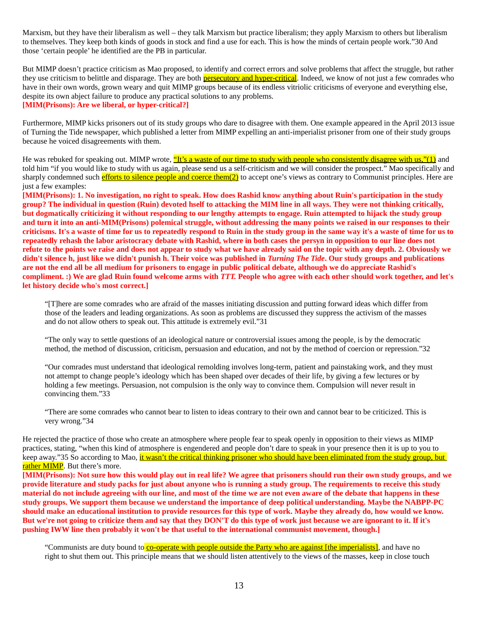Marxism, but they have their liberalism as well – they talk Marxism but practice liberalism; they apply Marxism to others but liberalism to themselves. They keep both kinds of goods in stock and find a use for each. This is how the minds of certain people work."30 And those 'certain people' he identified are the PB in particular.

But MIMP doesn't practice criticism as Mao proposed, to identify and correct errors and solve problems that affect the struggle, but rather they use criticism to belittle and disparage. They are both **persecutory and hyper-critical**. Indeed, we know of not just a few comrades who have in their own words, grown weary and quit MIMP groups because of its endless vitriolic criticisms of everyone and everything else, despite its own abject failure to produce any practical solutions to any problems. **[MIM(Prisons): Are we liberal, or hyper-critical?]**

Furthermore, MIMP kicks prisoners out of its study groups who dare to disagree with them. One example appeared in the April 2013 issue of Turning the Tide newspaper, which published a letter from MIMP expelling an anti-imperialist prisoner from one of their study groups because he voiced disagreements with them.

He was rebuked for speaking out. MIMP wrote, "It's a waste of our time to study with people who consistently disagree with us,"(1) and told him "if you would like to study with us again, please send us a self-criticism and we will consider the prospect." Mao specifically and sharply condemned such efforts to silence people and coerce them(2) to accept one's views as contrary to Communist principles. Here are just a few examples:

**[MIM(Prisons): 1. No investigation, no right to speak. How does Rashid know anything about Ruin's participation in the study group? The individual in question (Ruin) devoted hself to attacking the MIM line in all ways. They were not thinking critically, but dogmatically criticizing it without responding to our lengthy attempts to engage. Ruin attempted to hijack the study group and turn it into an anti-MIM(Prisons) polemical struggle, without addressing the many points we raised in our responses to their criticisms. It's a waste of time for us to repeatedly respond to Ruin in the study group in the same way it's a waste of time for us to repeatedly rehash the labor aristocracy debate with Rashid, where in both cases the persyn in opposition to our line does not refute to the points we raise and does not appear to study what we have already said on the topic with any depth. 2. Obviously we didn't silence h, just like we didn't punish h. Their voice was published in** *Turning The Tide***. Our study groups and publications are not the end all be all medium for prisoners to engage in public political debate, although we do appreciate Rashid's compliment. :) We are glad Ruin found welcome arms with** *TTT.* **People who agree with each other should work together, and let's let history decide who's most correct.]**

"[T]here are some comrades who are afraid of the masses initiating discussion and putting forward ideas which differ from those of the leaders and leading organizations. As soon as problems are discussed they suppress the activism of the masses and do not allow others to speak out. This attitude is extremely evil."31

"The only way to settle questions of an ideological nature or controversial issues among the people, is by the democratic method, the method of discussion, criticism, persuasion and education, and not by the method of coercion or repression."32

"Our comrades must understand that ideological remolding involves long-term, patient and painstaking work, and they must not attempt to change people's ideology which has been shaped over decades of their life, by giving a few lectures or by holding a few meetings. Persuasion, not compulsion is the only way to convince them. Compulsion will never result in convincing them."33

"There are some comrades who cannot bear to listen to ideas contrary to their own and cannot bear to be criticized. This is very wrong."34

He rejected the practice of those who create an atmosphere where people fear to speak openly in opposition to their views as MIMP practices, stating, "when this kind of atmosphere is engendered and people don't dare to speak in your presence then it is up to you to keep away."35 So according to Mao, it wasn't the critical thinking prisoner who should have been eliminated from the study group, but rather MIMP. But there's more.

**[MIM(Prisons): Not sure how this would play out in real life? We agree that prisoners should run their own study groups, and we provide literature and study packs for just about anyone who is running a study group. The requirements to receive this study material do not include agreeing with our line, and most of the time we are not even aware of the debate that happens in these study groups. We support them because we understand the importance of deep political understanding. Maybe the NABPP-PC should make an educational institution to provide resources for this type of work. Maybe they already do, how would we know. But we're not going to criticize them and say that they DON'T do this type of work just because we are ignorant to it. If it's pushing IWW line then probably it won't be that useful to the international communist movement, though.]**

"Communists are duty bound to co-operate with people outside the Party who are against [the imperialists], and have no right to shut them out. This principle means that we should listen attentively to the views of the masses, keep in close touch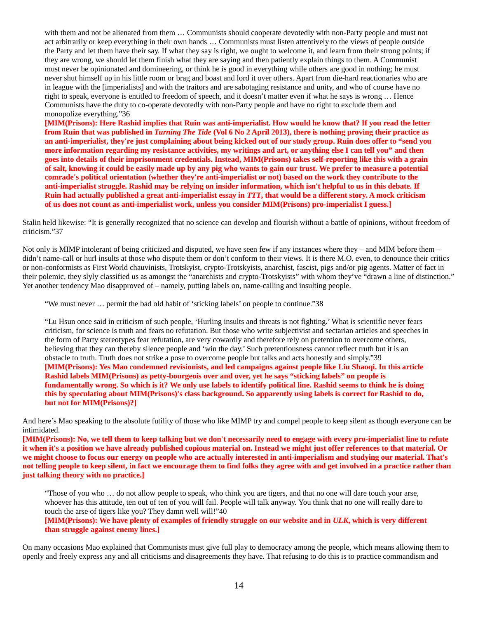with them and not be alienated from them … Communists should cooperate devotedly with non-Party people and must not act arbitrarily or keep everything in their own hands … Communists must listen attentively to the views of people outside the Party and let them have their say. If what they say is right, we ought to welcome it, and learn from their strong points; if they are wrong, we should let them finish what they are saying and then patiently explain things to them. A Communist must never be opinionated and domineering, or think he is good in everything while others are good in nothing; he must never shut himself up in his little room or brag and boast and lord it over others. Apart from die-hard reactionaries who are in league with the [imperialists] and with the traitors and are sabotaging resistance and unity, and who of course have no right to speak, everyone is entitled to freedom of speech, and it doesn't matter even if what he says is wrong … Hence Communists have the duty to co-operate devotedly with non-Party people and have no right to exclude them and monopolize everything."36

**[MIM(Prisons): Here Rashid implies that Ruin was anti-imperialist. How would he know that? If you read the letter from Ruin that was published in** *Turning The Tide* **(Vol 6 No 2 April 2013), there is nothing proving their practice as an anti-imperialist, they're just complaining about being kicked out of our study group. Ruin does offer to "send you more information regarding my resistance activities, my writings and art, or anything else I can tell you" and then goes into details of their imprisonment credentials. Instead, MIM(Prisons) takes self-reporting like this with a grain of salt, knowing it could be easily made up by any pig who wants to gain our trust. We prefer to measure a potential comrade's political orientation (whether they're anti-imperialist or not) based on the work they contribute to the anti-imperialist struggle. Rashid may be relying on insider information, which isn't helpful to us in this debate. If Ruin had actually published a great anti-imperialist essay in** *TTT***, that would be a different story. A mock criticism of us does not count as anti-imperialist work, unless you consider MIM(Prisons) pro-imperialist I guess.]**

Stalin held likewise: "It is generally recognized that no science can develop and flourish without a battle of opinions, without freedom of criticism."37

Not only is MIMP intolerant of being criticized and disputed, we have seen few if any instances where they – and MIM before them – didn't name-call or hurl insults at those who dispute them or don't conform to their views. It is there M.O. even, to denounce their critics or non-conformists as First World chauvinists, Trotskyist, crypto-Trotskyists, anarchist, fascist, pigs and/or pig agents. Matter of fact in their polemic, they slyly classified us as amongst the "anarchists and crypto-Trotskyists" with whom they've "drawn a line of distinction." Yet another tendency Mao disapproved of – namely, putting labels on, name-calling and insulting people.

"We must never … permit the bad old habit of 'sticking labels' on people to continue."38

"Lu Hsun once said in criticism of such people, 'Hurling insults and threats is not fighting.' What is scientific never fears criticism, for science is truth and fears no refutation. But those who write subjectivist and sectarian articles and speeches in the form of Party stereotypes fear refutation, are very cowardly and therefore rely on pretention to overcome others, believing that they can thereby silence people and 'win the day.' Such pretentiousness cannot reflect truth but it is an obstacle to truth. Truth does not strike a pose to overcome people but talks and acts honestly and simply."39 **[MIM(Prisons): Yes Mao condemned revisionists, and led campaigns against people like Liu Shaoqi. In this article Rashid labels MIM(Prisons) as petty-bourgeois over and over, yet he says "sticking labels" on people is fundamentally wrong. So which is it? We only use labels to identify political line. Rashid seems to think he is doing this by speculating about MIM(Prisons)'s class background. So apparently using labels is correct for Rashid to do, but not for MIM(Prisons)?]**

And here's Mao speaking to the absolute futility of those who like MIMP try and compel people to keep silent as though everyone can be intimidated.

**[MIM(Prisons): No, we tell them to keep talking but we don't necessarily need to engage with every pro-imperialist line to refute it when it's a position we have already published copious material on. Instead we might just offer references to that material. Or we might choose to focus our energy on people who are actually interested in anti-imperialism and studying our material. That's not telling people to keep silent, in fact we encourage them to find folks they agree with and get involved in a practice rather than just talking theory with no practice.]**

"Those of you who … do not allow people to speak, who think you are tigers, and that no one will dare touch your arse, whoever has this attitude, ten out of ten of you will fail. People will talk anyway. You think that no one will really dare to touch the arse of tigers like you? They damn well will!"40 **[MIM(Prisons): We have plenty of examples of friendly struggle on our website and in** *ULK***, which is very different than struggle against enemy lines.]**

On many occasions Mao explained that Communists must give full play to democracy among the people, which means allowing them to openly and freely express any and all criticisms and disagreements they have. That refusing to do this is to practice commandism and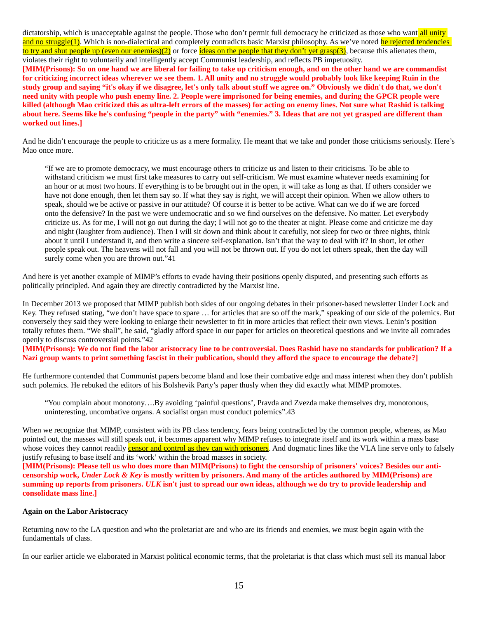dictatorship, which is unacceptable against the people. Those who don't permit full democracy he criticized as those who want all unity and no struggle(1). Which is non-dialectical and completely contradicts basic Marxist philosophy. As we've noted he rejected tendencies to try and shut people up (even our enemies)(2) or force ideas on the people that they don't yet grasp(3), because this alienates them, violates their right to voluntarily and intelligently accept Communist leadership, and reflects PB impetuosity.

**[MIM(Prisons): So on one hand we are liberal for failing to take up criticism enough, and on the other hand we are commandist for criticizing incorrect ideas wherever we see them. 1. All unity and no struggle would probably look like keeping Ruin in the study group and saying "it's okay if we disagree, let's only talk about stuff we agree on." Obviously we didn't do that, we don't need unity with people who push enemy line. 2. People were imprisoned for being enemies, and during the GPCR people were killed (although Mao criticized this as ultra-left errors of the masses) for acting on enemy lines. Not sure what Rashid is talking about here. Seems like he's confusing "people in the party" with "enemies." 3. Ideas that are not yet grasped are different than worked out lines.]**

And he didn't encourage the people to criticize us as a mere formality. He meant that we take and ponder those criticisms seriously. Here's Mao once more.

"If we are to promote democracy, we must encourage others to criticize us and listen to their criticisms. To be able to withstand criticism we must first take measures to carry out self-criticism. We must examine whatever needs examining for an hour or at most two hours. If everything is to be brought out in the open, it will take as long as that. If others consider we have not done enough, then let them say so. If what they say is right, we will accept their opinion. When we allow others to speak, should we be active or passive in our attitude? Of course it is better to be active. What can we do if we are forced onto the defensive? In the past we were undemocratic and so we find ourselves on the defensive. No matter. Let everybody criticize us. As for me, I will not go out during the day; I will not go to the theater at night. Please come and criticize me day and night (laughter from audience). Then I will sit down and think about it carefully, not sleep for two or three nights, think about it until I understand it, and then write a sincere self-explanation. Isn't that the way to deal with it? In short, let other people speak out. The heavens will not fall and you will not be thrown out. If you do not let others speak, then the day will surely come when you are thrown out."41

And here is yet another example of MIMP's efforts to evade having their positions openly disputed, and presenting such efforts as politically principled. And again they are directly contradicted by the Marxist line.

In December 2013 we proposed that MIMP publish both sides of our ongoing debates in their prisoner-based newsletter Under Lock and Key. They refused stating, "we don't have space to spare … for articles that are so off the mark," speaking of our side of the polemics. But conversely they said they were looking to enlarge their newsletter to fit in more articles that reflect their own views. Lenin's position totally refutes them. "We shall", he said, "gladly afford space in our paper for articles on theoretical questions and we invite all comrades openly to discuss controversial points."42

**[MIM(Prisons): We do not find the labor aristocracy line to be controversial. Does Rashid have no standards for publication? If a Nazi group wants to print something fascist in their publication, should they afford the space to encourage the debate?]**

He furthermore contended that Communist papers become bland and lose their combative edge and mass interest when they don't publish such polemics. He rebuked the editors of his Bolshevik Party's paper thusly when they did exactly what MIMP promotes.

"You complain about monotony….By avoiding 'painful questions', Pravda and Zvezda make themselves dry, monotonous, uninteresting, uncombative organs. A socialist organ must conduct polemics".43

When we recognize that MIMP, consistent with its PB class tendency, fears being contradicted by the common people, whereas, as Mao pointed out, the masses will still speak out, it becomes apparent why MIMP refuses to integrate itself and its work within a mass base whose voices they cannot readily censor and control as they can with prisoners. And dogmatic lines like the VLA line serve only to falsely justify refusing to base itself and its 'work' within the broad masses in society.

**[MIM(Prisons): Please tell us who does more than MIM(Prisons) to fight the censorship of prisoners' voices? Besides our anticensorship work,** *Under Lock & Key* **is mostly written by prisoners. And many of the articles authored by MIM(Prisons) are summing up reports from prisoners.** *ULK* **isn't just to spread our own ideas, although we do try to provide leadership and consolidate mass line.]**

## **Again on the Labor Aristocracy**

Returning now to the LA question and who the proletariat are and who are its friends and enemies, we must begin again with the fundamentals of class.

In our earlier article we elaborated in Marxist political economic terms, that the proletariat is that class which must sell its manual labor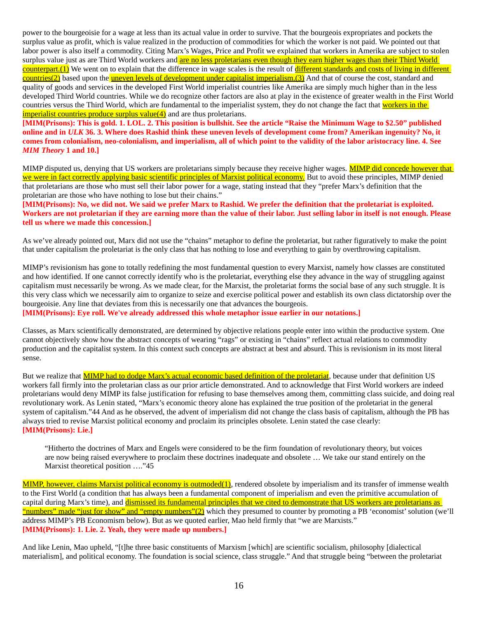power to the bourgeoisie for a wage at less than its actual value in order to survive. That the bourgeois expropriates and pockets the surplus value as profit, which is value realized in the production of commodities for which the worker is not paid. We pointed out that labor power is also itself a commodity. Citing Marx's Wages, Price and Profit we explained that workers in Amerika are subject to stolen surplus value just as are Third World workers and are no less proletarians even though they earn higher wages than their Third World counterpart.(1)</u> We went on to explain that the difference in wage scales is the result of different standards and costs of living in different countries(2) based upon the **uneven levels of development under capitalist imperialism.**(3) And that of course the cost, standard and quality of goods and services in the developed First World imperialist countries like Amerika are simply much higher than in the less developed Third World countries. While we do recognize other factors are also at play in the existence of greater wealth in the First World countries versus the Third World, which are fundamental to the imperialist system, they do not change the fact that workers in the  $im$  imperialist countries produce surplus value $(4)$  and are thus proletarians.

**[MIM(Prisons): This is gold. 1. LOL. 2. This position is bullshit. See the article "Raise the Minimum Wage to \$2.50" published online and in** *ULK* **36. 3. Where does Rashid think these uneven levels of development come from? Amerikan ingenuity? No, it comes from colonialism, neo-colonialism, and imperialism, all of which point to the validity of the labor aristocracy line. 4. See**  *MIM Theory* **1 and 10.]**

MIMP disputed us, denying that US workers are proletarians simply because they receive higher wages. MIMP did concede however that we were in fact correctly applying basic scientific principles of Marxist political economy. But to avoid these principles, MIMP denied that proletarians are those who must sell their labor power for a wage, stating instead that they "prefer Marx's definition that the proletarian are those who have nothing to lose but their chains."

**[MIM(Prisons): No, we did not. We said we prefer Marx to Rashid. We prefer the definition that the proletariat is exploited. Workers are not proletarian if they are earning more than the value of their labor. Just selling labor in itself is not enough. Please tell us where we made this concession.]**

As we've already pointed out, Marx did not use the "chains" metaphor to define the proletariat, but rather figuratively to make the point that under capitalism the proletariat is the only class that has nothing to lose and everything to gain by overthrowing capitalism.

MIMP's revisionism has gone to totally redefining the most fundamental question to every Marxist, namely how classes are constituted and how identified. If one cannot correctly identify who is the proletariat, everything else they advance in the way of struggling against capitalism must necessarily be wrong. As we made clear, for the Marxist, the proletariat forms the social base of any such struggle. It is this very class which we necessarily aim to organize to seize and exercise political power and establish its own class dictatorship over the bourgeoisie. Any line that deviates from this is necessarily one that advances the bourgeois. **[MIM(Prisons): Eye roll. We've already addressed this whole metaphor issue earlier in our notations.]**

Classes, as Marx scientifically demonstrated, are determined by objective relations people enter into within the productive system. One cannot objectively show how the abstract concepts of wearing "rags" or existing in "chains" reflect actual relations to commodity production and the capitalist system. In this context such concepts are abstract at best and absurd. This is revisionism in its most literal sense.

But we realize that **MIMP had to dodge Marx's actual economic based definition of the proletariat**, because under that definition US workers fall firmly into the proletarian class as our prior article demonstrated. And to acknowledge that First World workers are indeed proletarians would deny MIMP its false justification for refusing to base themselves among them, committing class suicide, and doing real revolutionary work. As Lenin stated, "Marx's economic theory alone has explained the true position of the proletariat in the general system of capitalism."44 And as he observed, the advent of imperialism did not change the class basis of capitalism, although the PB has always tried to revise Marxist political economy and proclaim its principles obsolete. Lenin stated the case clearly: **[MIM(Prisons): Lie.]**

"Hitherto the doctrines of Marx and Engels were considered to be the firm foundation of revolutionary theory, but voices are now being raised everywhere to proclaim these doctrines inadequate and obsolete … We take our stand entirely on the Marxist theoretical position …."45

MIMP, however, claims Marxist political economy is outmoded(1), rendered obsolete by imperialism and its transfer of immense wealth to the First World (a condition that has always been a fundamental component of imperialism and even the primitive accumulation of capital during Marx's time), and *dismissed its fundamental principles that we cited to demonstrate that US workers are proletarians as* "numbers" made "just for show" and "empty numbers"(2) which they presumed to counter by promoting a PB 'economist' solution (we'll address MIMP's PB Economism below). But as we quoted earlier, Mao held firmly that "we are Marxists." **[MIM(Prisons): 1. Lie. 2. Yeah, they were made up numbers.]**

And like Lenin, Mao upheld, "[t]he three basic constituents of Marxism [which] are scientific socialism, philosophy [dialectical materialism], and political economy. The foundation is social science, class struggle." And that struggle being "between the proletariat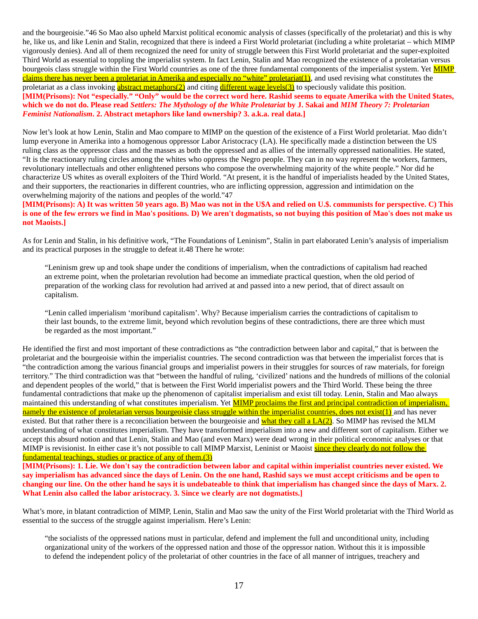and the bourgeoisie."46 So Mao also upheld Marxist political economic analysis of classes (specifically of the proletariat) and this is why he, like us, and like Lenin and Stalin, recognized that there is indeed a First World proletariat (including a white proletariat – which MIMP vigorously denies). And all of them recognized the need for unity of struggle between this First World proletariat and the super-exploited Third World as essential to toppling the imperialist system. In fact Lenin, Stalin and Mao recognized the existence of a proletarian versus bourgeois class struggle within the First World countries as one of the three fundamental components of the imperialist system. Yet MIMP claims there has never been a proletariat in Amerika and especially no "white" proletariat(1), and used revising what constitutes the proletariat as a class invoking abstract metaphors(2) and citing different wage levels(3) to speciously validate this position. **[MIM(Prisons): Not "especially." "Only" would be the correct word here. Rashid seems to equate Amerika with the United \$tates, which we do not do. Please read** *Settlers: The Mythology of the White Proletariat* **by J. Sakai and** *MIM Theory 7: Proletarian Feminist Nationalism***. 2. Abstract metaphors like land ownership? 3. a.k.a. real data.]**

Now let's look at how Lenin, Stalin and Mao compare to MIMP on the question of the existence of a First World proletariat. Mao didn't lump everyone in Amerika into a homogenous oppressor Labor Aristocracy (LA). He specifically made a distinction between the US ruling class as the oppressor class and the masses as both the oppressed and as allies of the internally oppressed nationalities. He stated, "It is the reactionary ruling circles among the whites who oppress the Negro people. They can in no way represent the workers, farmers, revolutionary intellectuals and other enlightened persons who compose the overwhelming majority of the white people." Nor did he characterize US whites as overall exploiters of the Third World. "At present, it is the handful of imperialists headed by the United States, and their supporters, the reactionaries in different countries, who are inflicting oppression, aggression and intimidation on the overwhelming majority of the nations and peoples of the world."47

## **[MIM(Prisons): A) It was written 50 years ago. B) Mao was not in the U\$A and relied on U.\$. communists for perspective. C) This is one of the few errors we find in Mao's positions. D) We aren't dogmatists, so not buying this position of Mao's does not make us not Maoists.]**

As for Lenin and Stalin, in his definitive work, "The Foundations of Leninism", Stalin in part elaborated Lenin's analysis of imperialism and its practical purposes in the struggle to defeat it.48 There he wrote:

"Leninism grew up and took shape under the conditions of imperialism, when the contradictions of capitalism had reached an extreme point, when the proletarian revolution had become an immediate practical question, when the old period of preparation of the working class for revolution had arrived at and passed into a new period, that of direct assault on capitalism.

"Lenin called imperialism 'moribund capitalism'. Why? Because imperialism carries the contradictions of capitalism to their last bounds, to the extreme limit, beyond which revolution begins of these contradictions, there are three which must be regarded as the most important."

He identified the first and most important of these contradictions as "the contradiction between labor and capital," that is between the proletariat and the bourgeoisie within the imperialist countries. The second contradiction was that between the imperialist forces that is "the contradiction among the various financial groups and imperialist powers in their struggles for sources of raw materials, for foreign territory." The third contradiction was that "between the handful of ruling, 'civilized' nations and the hundreds of millions of the colonial and dependent peoples of the world," that is between the First World imperialist powers and the Third World. These being the three fundamental contradictions that make up the phenomenon of capitalist imperialism and exist till today. Lenin, Stalin and Mao always maintained this understanding of what constitutes imperialism. Yet **MIMP proclaims the first and principal contradiction of imperialism,** namely the existence of proletarian versus bourgeoisie class struggle within the imperialist countries, does not exist(1) and has never existed. But that rather there is a reconciliation between the bourgeoisie and what they call a LA(2). So MIMP has revised the MLM understanding of what constitutes imperialism. They have transformed imperialism into a new and different sort of capitalism. Either we accept this absurd notion and that Lenin, Stalin and Mao (and even Marx) were dead wrong in their political economic analyses or that MIMP is revisionist. In either case it's not possible to call MIMP Marxist, Leninist or Maoist since they clearly do not follow the fundamental teachings, studies or practice of any of them.(3)

**[MIM(Prisons): 1. Lie. We don't say the contradiction between labor and capital within imperialist countries never existed. We say imperialism has advanced since the days of Lenin. On the one hand, Rashid says we must accept criticisms and be open to changing our line. On the other hand he says it is undebateable to think that imperialism has changed since the days of Marx. 2. What Lenin also called the labor aristocracy. 3. Since we clearly are not dogmatists.]**

What's more, in blatant contradiction of MIMP, Lenin, Stalin and Mao saw the unity of the First World proletariat with the Third World as essential to the success of the struggle against imperialism. Here's Lenin:

"the socialists of the oppressed nations must in particular, defend and implement the full and unconditional unity, including organizational unity of the workers of the oppressed nation and those of the oppressor nation. Without this it is impossible to defend the independent policy of the proletariat of other countries in the face of all manner of intrigues, treachery and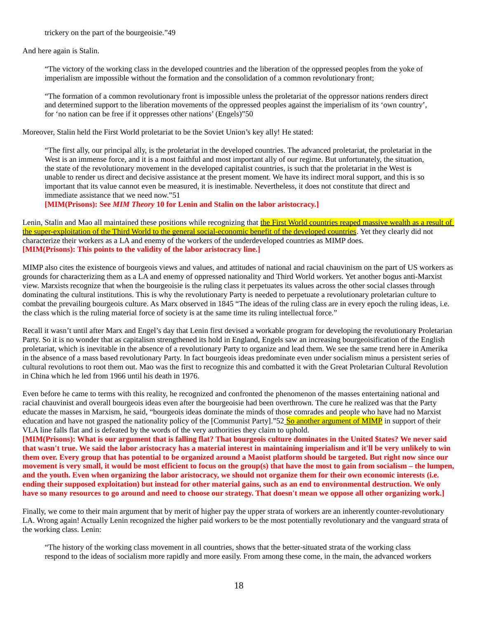trickery on the part of the bourgeoisie."49

And here again is Stalin.

"The victory of the working class in the developed countries and the liberation of the oppressed peoples from the yoke of imperialism are impossible without the formation and the consolidation of a common revolutionary front;

"The formation of a common revolutionary front is impossible unless the proletariat of the oppressor nations renders direct and determined support to the liberation movements of the oppressed peoples against the imperialism of its 'own country', for 'no nation can be free if it oppresses other nations' (Engels)"50

Moreover, Stalin held the First World proletariat to be the Soviet Union's key ally! He stated:

"The first ally, our principal ally, is the proletariat in the developed countries. The advanced proletariat, the proletariat in the West is an immense force, and it is a most faithful and most important ally of our regime. But unfortunately, the situation, the state of the revolutionary movement in the developed capitalist countries, is such that the proletariat in the West is unable to render us direct and decisive assistance at the present moment. We have its indirect moral support, and this is so important that its value cannot even be measured, it is inestimable. Nevertheless, it does not constitute that direct and immediate assistance that we need now."51

**[MIM(Prisons): See** *MIM Theory* **10 for Lenin and Stalin on the labor aristocracy.]**

Lenin, Stalin and Mao all maintained these positions while recognizing that the First World countries reaped massive wealth as a result of the super-exploitation of the Third World to the general social-economic benefit of the developed countries. Yet they clearly did not characterize their workers as a LA and enemy of the workers of the underdeveloped countries as MIMP does. **[MIM(Prisons): This points to the validity of the labor aristocracy line.]**

MIMP also cites the existence of bourgeois views and values, and attitudes of national and racial chauvinism on the part of US workers as grounds for characterizing them as a LA and enemy of oppressed nationality and Third World workers. Yet another bogus anti-Marxist view. Marxists recognize that when the bourgeoisie is the ruling class it perpetuates its values across the other social classes through dominating the cultural institutions. This is why the revolutionary Party is needed to perpetuate a revolutionary proletarian culture to combat the prevailing bourgeois culture. As Marx observed in 1845 "The ideas of the ruling class are in every epoch the ruling ideas, i.e. the class which is the ruling material force of society is at the same time its ruling intellectual force."

Recall it wasn't until after Marx and Engel's day that Lenin first devised a workable program for developing the revolutionary Proletarian Party. So it is no wonder that as capitalism strengthened its hold in England, Engels saw an increasing bourgeoisification of the English proletariat, which is inevitable in the absence of a revolutionary Party to organize and lead them. We see the same trend here in Amerika in the absence of a mass based revolutionary Party. In fact bourgeois ideas predominate even under socialism minus a persistent series of cultural revolutions to root them out. Mao was the first to recognize this and combatted it with the Great Proletarian Cultural Revolution in China which he led from 1966 until his death in 1976.

Even before he came to terms with this reality, he recognized and confronted the phenomenon of the masses entertaining national and racial chauvinist and overall bourgeois ideas even after the bourgeoisie had been overthrown. The cure he realized was that the Party educate the masses in Marxism, he said, "bourgeois ideas dominate the minds of those comrades and people who have had no Marxist education and have not grasped the nationality policy of the [Communist Party]."52 So another argument of MIMP in support of their VLA line falls flat and is defeated by the words of the very authorities they claim to uphold.

**[MIM(Prisons): What is our argument that is falling flat? That bourgeois culture dominates in the United \$tates? We never said that wasn't true. We said the labor aristocracy has a material interest in maintaining imperialism and it'll be very unlikely to win them over. Every group that has potential to be organized around a Maoist platform should be targeted. But right now since our movement is very small, it would be most efficient to focus on the group(s) that have the most to gain from socialism – the lumpen, and the youth. Even when organizing the labor aristocracy, we should not organize them for their own economic interests (i.e. ending their supposed exploitation) but instead for other material gains, such as an end to environmental destruction. We only have so many resources to go around and need to choose our strategy. That doesn't mean we oppose all other organizing work.]**

Finally, we come to their main argument that by merit of higher pay the upper strata of workers are an inherently counter-revolutionary LA. Wrong again! Actually Lenin recognized the higher paid workers to be the most potentially revolutionary and the vanguard strata of the working class. Lenin:

"The history of the working class movement in all countries, shows that the better-situated strata of the working class respond to the ideas of socialism more rapidly and more easily. From among these come, in the main, the advanced workers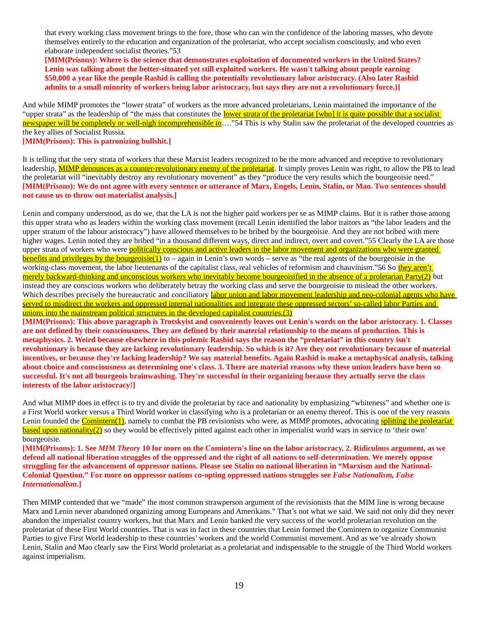that every working class movement brings to the fore, those who can win the confidence of the laboring masses, who devote themselves entirely to the education and organization of the proletariat, who accept socialism consciously, and who even elaborate independent socialist theories."53

**[MIM(Prisons): Where is the science that demonstrates exploitation of documented workers in the United \$tates? Lenin was talking about the better-situated yet still exploited workers. He wasn't talking about people earning \$50,000 a year like the people Rashid is calling the potentially revolutionary labor aristocracy. (Also later Rashid admits to a small minority of workers being labor aristocracy, but says they are not a revolutionary force.)]**

And while MIMP promotes the "lower strata" of workers as the more advanced proletarians, Lenin maintained the importance of the "upper strata" as the leadership of "the mass that constitutes the lower strata of the proletariat [who] it is quite possible that a socialist newspaper will be completely or well-nigh incomprehensible to...."54 This is why Stalin saw the proletariat of the developed countries as the key allies of Socialist Russia.

## **[MIM(Prisons): This is patronizing bullshit.]**

It is telling that the very strata of workers that these Marxist leaders recognized to be the more advanced and receptive to revolutionary leadership, **MIMP denounces as a counter-revolutionary enemy of the proletariat**. It simply proves Lenin was right, to allow the PB to lead the proletariat will "inevitably destroy any revolutionary movement" as they "produce the very results which the bourgeoisie need." **[MIM(Prisons): We do not agree with every sentence or utterance of Marx, Engels, Lenin, Stalin, or Mao. Two sentences should not cause us to throw out materialist analysis.]** 

Lenin and company understood, as do we, that the LA is not the higher paid workers per se as MIMP claims. But it is rather those among this upper strata who as leaders within the working class movement (recall Lenin identified the labor traitors as "the labor leaders and the upper stratum of the labour aristocracy") have allowed themselves to be bribed by the bourgeoisie. And they are not bribed with mere higher wages. Lenin noted they are bribed "in a thousand different ways, direct and indirect, overt and covert."55 Clearly the LA are those upper strata of workers who were **politically conscious and active leaders in the labor movement and organizations who were granted benefits and privileges by the bourgeoisie(1)** to  $-$  again in Lenin's own words  $-$  serve as "the real agents of the bourgeoisie in the working-class movement, the labor lieutenants of the capitalist class, real vehicles of reformism and chauvinism."56 So they aren't merely backward-thinking and unconscious workers who inevitably become bourgeoisified in the absence of a proletarian Party(2) but instead they are conscious workers who deliberately betray the working class and serve the bourgeoisie to mislead the other workers. Which describes precisely the bureaucratic and conciliatory labor union and labor movement leadership and neo-colonial agents who have served to misdirect the workers and oppressed internal nationalities and integrate these oppressed sectors' so-called labor Parties and unions into the mainstream political structures in the developed capitalist countries.(3)

**[MIM(Prisons): This above paragraph is Trotskyist and conveniently leaves out Lenin's words on the labor aristocracy. 1. Classes are not defined by their consciousness. They are defined by their material relationship to the means of production. This is metaphysics. 2. Weird because elsewhere in this polemic Rashid says the reason the "proletariat" in this country isn't revolutionary is because they are lacking revolutionary leadership. So which is it? Are they not revolutionary because of material incentives, or because they're lacking leadership? We say material benefits. Again Rashid is make a metaphysical analysis, talking about choice and consciousness as determining one's class. 3. There are material reasons why these union leaders have been so successful. It's not all bourgeois brainwashing. They're successful in their organizing because they actually serve the class interests of the labor aristocracy!]**

And what MIMP does in effect is to try and divide the proletariat by race and nationality by emphasizing "whiteness" and whether one is a First World worker versus a Third World worker in classifying who is a proletarian or an enemy thereof. This is one of the very reasons Lenin founded the **Comintern(1)**, namely to combat the PB revisionists who were, as MIMP promotes, advocating **splitting the proletariat** based upon nationality(2) so they would be effectively pitted against each other in imperialist world wars in service to 'their own' bourgeoisie.

**[MIM(Prisons): 1. See** *MIM Theory* **10 for more on the Comintern's line on the labor aristocracy. 2. Ridiculous argument, as we defend all national liberation struggles of the oppressed and the right of all nations to self-determination. We merely oppose struggling for the advancement of oppressor nations. Please see Stalin on national liberation in "Marxism and the National-Colonial Question." For more on oppressor nations co-opting oppressed nations struggles see** *False Nationalism, False Internationalism***.]** 

Then MIMP contended that we "made" the most common strawperson argument of the revisionists that the MIM line is wrong because Marx and Lenin never abandoned organizing among Europeans and Amerikans." That's not what we said. We said not only did they never abandon the imperialist country workers, but that Marx and Lenin banked the very success of the world proletarian revolution on the proletariat of these First World countries. That is was in fact in these countries that Lenin formed the Comintern to organize Communist Parties to give First World leadership to these countries' workers and the world Communist movement. And as we've already shown Lenin, Stalin and Mao clearly saw the First World proletariat as a proletariat and indispensable to the struggle of the Third World workers against imperialism.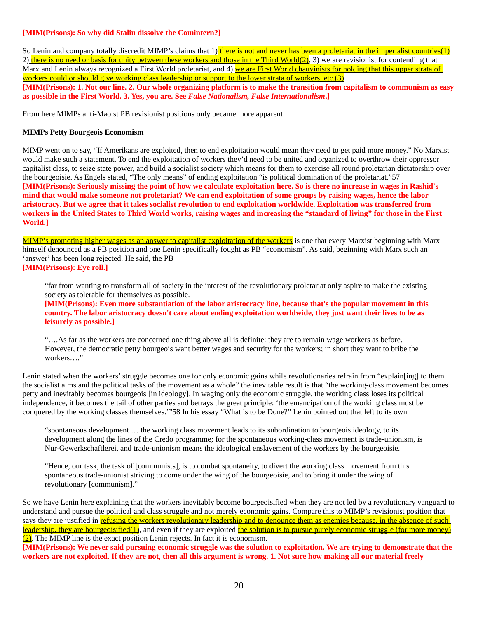## **[MIM(Prisons): So why did Stalin dissolve the Comintern?]**

So Lenin and company totally discredit MIMP's claims that  $1)$  there is not and never has been a proletariat in the imperialist countries( $1$ ) 2) there is no need or basis for unity between these workers and those in the Third World $(2)$ , 3) we are revisionist for contending that Marx and Lenin always recognized a First World proletariat, and 4) we are First World chauvinists for holding that this upper strata of workers could or should give working class leadership or support to the lower strata of workers, etc.(3) **[MIM(Prisons): 1. Not our line. 2. Our whole organizing platform is to make the transition from capitalism to communism as easy as possible in the First World. 3. Yes, you are. See** *False Nationalism, False Internationalism***.]**

From here MIMPs anti-Maoist PB revisionist positions only became more apparent.

### **MIMPs Petty Bourgeois Economism**

MIMP went on to say, "If Amerikans are exploited, then to end exploitation would mean they need to get paid more money." No Marxist would make such a statement. To end the exploitation of workers they'd need to be united and organized to overthrow their oppressor capitalist class, to seize state power, and build a socialist society which means for them to exercise all round proletarian dictatorship over the bourgeoisie. As Engels stated, "The only means" of ending exploitation "is political domination of the proletariat."57 **[MIM(Prisons): Seriously missing the point of how we calculate exploitation here. So is there no increase in wages in Rashid's mind that would make someone not proletariat? We can end exploitation of some groups by raising wages, hence the labor aristocracy. But we agree that it takes socialist revolution to end exploitation worldwide. Exploitation was transferred from workers in the United \$tates to Third World works, raising wages and increasing the "standard of living" for those in the First World.]**

MIMP's promoting higher wages as an answer to capitalist exploitation of the workers is one that every Marxist beginning with Marx himself denounced as a PB position and one Lenin specifically fought as PB "economism". As said, beginning with Marx such an 'answer' has been long rejected. He said, the PB **[MIM(Prisons): Eye roll.]**

"far from wanting to transform all of society in the interest of the revolutionary proletariat only aspire to make the existing society as tolerable for themselves as possible.

**[MIM(Prisons): Even more substantiation of the labor aristocracy line, because that's the popular movement in this country. The labor aristocracy doesn't care about ending exploitation worldwide, they just want their lives to be as leisurely as possible.]**

"….As far as the workers are concerned one thing above all is definite: they are to remain wage workers as before. However, the democratic petty bourgeois want better wages and security for the workers; in short they want to bribe the workers…."

Lenin stated when the workers' struggle becomes one for only economic gains while revolutionaries refrain from "explain[ing] to them the socialist aims and the political tasks of the movement as a whole" the inevitable result is that "the working-class movement becomes petty and inevitably becomes bourgeois [in ideology]. In waging only the economic struggle, the working class loses its political independence, it becomes the tail of other parties and betrays the great principle: 'the emancipation of the working class must be conquered by the working classes themselves.'"58 In his essay "What is to be Done?" Lenin pointed out that left to its own

"spontaneous development … the working class movement leads to its subordination to bourgeois ideology, to its development along the lines of the Credo programme; for the spontaneous working-class movement is trade-unionism, is Nur-Gewerkschaftlerei, and trade-unionism means the ideological enslavement of the workers by the bourgeoisie.

"Hence, our task, the task of [communists], is to combat spontaneity, to divert the working class movement from this spontaneous trade-unionist striving to come under the wing of the bourgeoisie, and to bring it under the wing of revolutionary [communism]."

So we have Lenin here explaining that the workers inevitably become bourgeoisified when they are not led by a revolutionary vanguard to understand and pursue the political and class struggle and not merely economic gains. Compare this to MIMP's revisionist position that says they are justified in refusing the workers revolutionary leadership and to denounce them as enemies because, in the absence of such leadership, they are bourgeoisified(1), and even if they are exploited the solution is to pursue purely economic struggle (for more money)  $(2)$ . The MIMP line is the exact position Lenin rejects. In fact it is economism.

**[MIM(Prisons): We never said pursuing economic struggle was the solution to exploitation. We are trying to demonstrate that the workers are not exploited. If they are not, then all this argument is wrong. 1. Not sure how making all our material freely**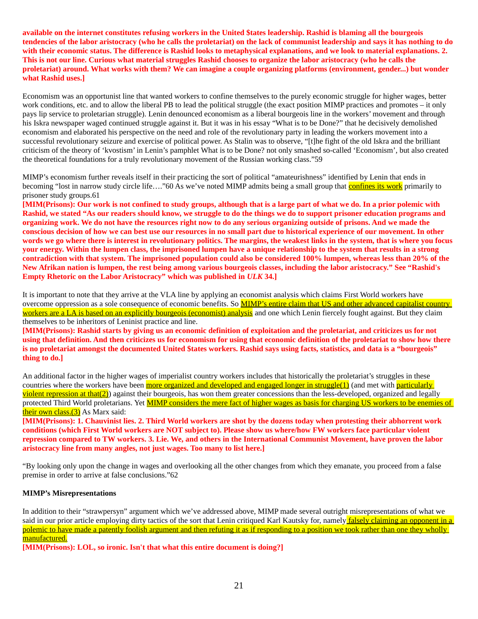**available on the internet constitutes refusing workers in the United \$tates leadership. Rashid is blaming all the bourgeois tendencies of the labor aristocracy (who he calls the proletariat) on the lack of communist leadership and says it has nothing to do with their economic status. The difference is Rashid looks to metaphysical explanations, and we look to material explanations. 2. This is not our line. Curious what material struggles Rashid chooses to organize the labor aristocracy (who he calls the proletariat) around. What works with them? We can imagine a couple organizing platforms (environment, gender...) but wonder what Rashid uses.]**

Economism was an opportunist line that wanted workers to confine themselves to the purely economic struggle for higher wages, better work conditions, etc. and to allow the liberal PB to lead the political struggle (the exact position MIMP practices and promotes – it only pays lip service to proletarian struggle). Lenin denounced economism as a liberal bourgeois line in the workers' movement and through his Iskra newspaper waged continued struggle against it. But it was in his essay "What is to be Done?" that he decisively demolished economism and elaborated his perspective on the need and role of the revolutionary party in leading the workers movement into a successful revolutionary seizure and exercise of political power. As Stalin was to observe, "[t]he fight of the old Iskra and the brilliant criticism of the theory of 'kvostism' in Lenin's pamphlet What is to be Done? not only smashed so-called 'Economism', but also created the theoretical foundations for a truly revolutionary movement of the Russian working class."59

MIMP's economism further reveals itself in their practicing the sort of political "amateurishness" identified by Lenin that ends in becoming "lost in narrow study circle life…."60 As we've noted MIMP admits being a small group that confines its work primarily to prisoner study groups.61

**[MIM(Prisons): Our work is not confined to study groups, although that is a large part of what we do. In a prior polemic with Rashid, we stated "As our readers should know, we struggle to do the things we do to support prisoner education programs and organizing work. We do not have the resources right now to do any serious organizing outside of prisons. And we made the conscious decision of how we can best use our resources in no small part due to historical experience of our movement. In other words we go where there is interest in revolutionary politics. The margins, the weakest links in the system, that is where you focus your energy. Within the lumpen class, the imprisoned lumpen have a unique relationship to the system that results in a strong contradiction with that system. The imprisoned population could also be considered 100% lumpen, whereas less than 20% of the New Afrikan nation is lumpen, the rest being among various bourgeois classes, including the labor aristocracy." See "Rashid's Empty Rhetoric on the Labor Aristocracy" which was published in** *ULK* **34.]**

It is important to note that they arrive at the VLA line by applying an economist analysis which claims First World workers have overcome oppression as a sole consequence of economic benefits. So **MIMP's entire claim that US and other advanced capitalist country** workers are a LA is based on an explicitly bourgeois (economist) analysis and one which Lenin fiercely fought against. But they claim themselves to be inheritors of Leninist practice and line.

**[MIM(Prisons): Rashid starts by giving us an economic definition of exploitation and the proletariat, and criticizes us for not using that definition. And then criticizes us for economism for using that economic definition of the proletariat to show how there is no proletariat amongst the documented United \$tates workers. Rashid says using facts, statistics, and data is a "bourgeois" thing to do.]**

An additional factor in the higher wages of imperialist country workers includes that historically the proletariat's struggles in these countries where the workers have been more organized and developed and engaged longer in struggle(1) (and met with particularly  $vi$ olent repression at that $(2)$ ) against their bourgeois, has won them greater concessions than the less-developed, organized and legally protected Third World proletarians. Yet MIMP considers the mere fact of higher wages as basis for charging US workers to be enemies of their own class.(3) As Marx said:

**[MIM(Prisons): 1. Chauvinist lies. 2. Third World workers are shot by the dozens today when protesting their abhorrent work conditions (which First World workers are NOT subject to). Please show us where/how FW workers face particular violent repression compared to TW workers. 3. Lie. We, and others in the International Communist Movement, have proven the labor aristocracy line from many angles, not just wages. Too many to list here.]**

"By looking only upon the change in wages and overlooking all the other changes from which they emanate, you proceed from a false premise in order to arrive at false conclusions."62

## **MIMP's Misrepresentations**

In addition to their "strawpersyn" argument which we've addressed above, MIMP made several outright misrepresentations of what we said in our prior article employing dirty tactics of the sort that Lenin critiqued Karl Kautsky for, namely falsely claiming an opponent in a polemic to have made a patently foolish argument and then refuting it as if responding to a position we took rather than one they wholly manufactured.

**[MIM(Prisons): LOL, so ironic. Isn't that what this entire document is doing?]**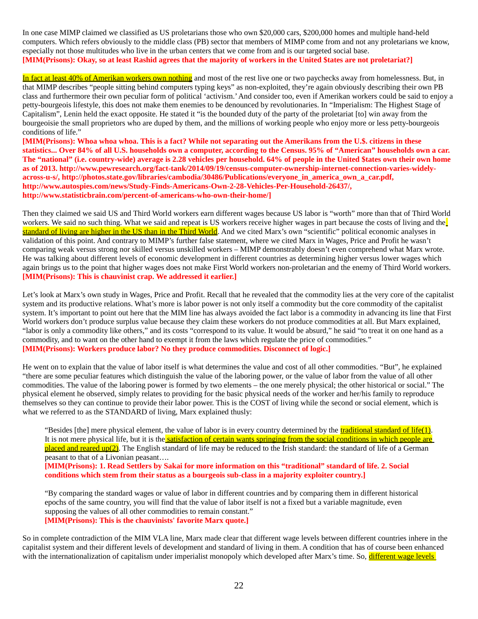In one case MIMP claimed we classified as US proletarians those who own \$20,000 cars, \$200,000 homes and multiple hand-held computers. Which refers obviously to the middle class (PB) sector that members of MIMP come from and not any proletarians we know, especially not those multitudes who live in the urban centers that we come from and is our targeted social base. **[MIM(Prisons): Okay, so at least Rashid agrees that the majority of workers in the United \$tates are not proletariat?]**

In fact at least 40% of Amerikan workers own nothing and most of the rest live one or two paychecks away from homelessness. But, in that MIMP describes "people sitting behind computers typing keys" as non-exploited, they're again obviously describing their own PB class and furthermore their own peculiar form of political 'activism.' And consider too, even if Amerikan workers could be said to enjoy a petty-bourgeois lifestyle, this does not make them enemies to be denounced by revolutionaries. In "Imperialism: The Highest Stage of Capitalism", Lenin held the exact opposite. He stated it "is the bounded duty of the party of the proletariat [to] win away from the bourgeoisie the small proprietors who are duped by them, and the millions of working people who enjoy more or less petty-bourgeois conditions of life."

**[MIM(Prisons): Whoa whoa whoa. This is a fact? While not separating out the Amerikans from the U.\$. citizens in these statistics... Over 84% of all U.S. households own a computer, according to the Census. 95% of "American" households own a car. The "national" (i.e. country-wide) average is 2.28 vehicles per household. 64% of people in the United \$tates own their own home as of 2013. http://www.pewresearch.org/fact-tank/2014/09/19/census-computer-ownership-internet-connection-varies-widelyacross-u-s/, http://photos.state.gov/libraries/cambodia/30486/Publications/everyone\_in\_america\_own\_a\_car.pdf, http://www.autospies.com/news/Study-Finds-Americans-Own-2-28-Vehicles-Per-Household-26437/, http://www.statisticbrain.com/percent-of-americans-who-own-their-home/]**

Then they claimed we said US and Third World workers earn different wages because US labor is "worth" more than that of Third World workers. We said no such thing. What we said and repeat is US workers receive higher wages in part because the costs of living and the standard of living are higher in the US than in the Third World. And we cited Marx's own "scientific" political economic analyses in validation of this point. And contrary to MIMP's further false statement, where we cited Marx in Wages, Price and Profit he wasn't comparing weak versus strong nor skilled versus unskilled workers – MIMP demonstrably doesn't even comprehend what Marx wrote. He was talking about different levels of economic development in different countries as determining higher versus lower wages which again brings us to the point that higher wages does not make First World workers non-proletarian and the enemy of Third World workers. **[MIM(Prisons): This is chauvinist crap. We addressed it earlier.]**

Let's look at Marx's own study in Wages, Price and Profit. Recall that he revealed that the commodity lies at the very core of the capitalist system and its productive relations. What's more is labor power is not only itself a commodity but the core commodity of the capitalist system. It's important to point out here that the MIM line has always avoided the fact labor is a commodity in advancing its line that First World workers don't produce surplus value because they claim these workers do not produce commodities at all. But Marx explained, "labor is only a commodity like others," and its costs "correspond to its value. It would be absurd," he said "to treat it on one hand as a commodity, and to want on the other hand to exempt it from the laws which regulate the price of commodities." **[MIM(Prisons): Workers produce labor? No they produce commodities. Disconnect of logic.]**

He went on to explain that the value of labor itself is what determines the value and cost of all other commodities. "But", he explained "there are some peculiar features which distinguish the value of the laboring power, or the value of labor from the value of all other commodities. The value of the laboring power is formed by two elements – the one merely physical; the other historical or social." The physical element he observed, simply relates to providing for the basic physical needs of the worker and her/his family to reproduce themselves so they can continue to provide their labor power. This is the COST of living while the second or social element, which is what we referred to as the STANDARD of living, Marx explained thusly:

"Besides [the] mere physical element, the value of labor is in every country determined by the **traditional standard of life(1)**. It is not mere physical life, but it is the satisfaction of certain wants springing from the social conditions in which people are placed and reared  $up(2)$ . The English standard of life may be reduced to the Irish standard: the standard of life of a German peasant to that of a Livonian peasant….

**[MIM(Prisons): 1. Read Settlers by Sakai for more information on this "traditional" standard of life. 2. Social conditions which stem from their status as a bourgeois sub-class in a majority exploiter country.]**

"By comparing the standard wages or value of labor in different countries and by comparing them in different historical epochs of the same country, you will find that the value of labor itself is not a fixed but a variable magnitude, even supposing the values of all other commodities to remain constant." **[MIM(Prisons): This is the chauvinists' favorite Marx quote.]**

So in complete contradiction of the MIM VLA line, Marx made clear that different wage levels between different countries inhere in the capitalist system and their different levels of development and standard of living in them. A condition that has of course been enhanced with the internationalization of capitalism under imperialist monopoly which developed after Marx's time. So, different wage levels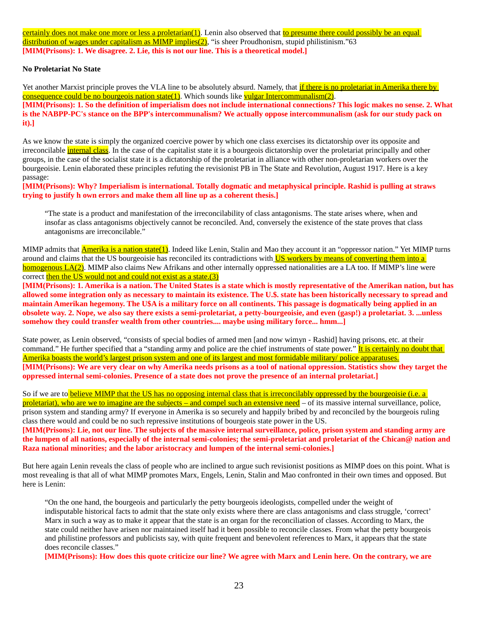certainly does not make one more or less a proletarian(1). Lenin also observed that to presume there could possibly be an equal distribution of wages under capitalism as MIMP implies(2), "is sheer Proudhonism, stupid philistinism."63 **[MIM(Prisons): 1. We disagree. 2. Lie, this is not our line. This is a theoretical model.]**

## **No Proletariat No State**

Yet another Marxist principle proves the VLA line to be absolutely absurd. Namely, that if there is no proletariat in Amerika there by consequence could be no bourgeois nation state(1). Which sounds like vulgar Intercommunalism(2). **[MIM(Prisons): 1. So the definition of imperialism does not include international connections? This logic makes no sense. 2. What is the NABPP-PC's stance on the BPP's intercommunalism? We actually oppose intercommunalism (ask for our study pack on it).]**

As we know the state is simply the organized coercive power by which one class exercises its dictatorship over its opposite and irreconcilable *internal class*. In the case of the capitalist state it is a bourgeois dictatorship over the proletariat principally and other groups, in the case of the socialist state it is a dictatorship of the proletariat in alliance with other non-proletarian workers over the bourgeoisie. Lenin elaborated these principles refuting the revisionist PB in The State and Revolution, August 1917. Here is a key passage:

**[MIM(Prisons): Why? Imperialism is international. Totally dogmatic and metaphysical principle. Rashid is pulling at straws trying to justify h own errors and make them all line up as a coherent thesis.]**

"The state is a product and manifestation of the irreconcilability of class antagonisms. The state arises where, when and insofar as class antagonisms objectively cannot be reconciled. And, conversely the existence of the state proves that class antagonisms are irreconcilable."

MIMP admits that **Amerika is a nation state(1)**. Indeed like Lenin, Stalin and Mao they account it an "oppressor nation." Yet MIMP turns around and claims that the US bourgeoisie has reconciled its contradictions with **US workers by means of converting them into a** homogenous LA(2). MIMP also claims New Afrikans and other internally oppressed nationalities are a LA too. If MIMP's line were correct then the US would not and could not exist as a state.(3)

**[MIM(Prisons): 1. Amerika is a nation. The United \$tates is a state which is mostly representative of the Amerikan nation, but has allowed some integration only as necessary to maintain its existence. The U.\$. state has been historically necessary to spread and maintain Amerikan hegemony. The U\$A is a military force on all continents. This passage is dogmatically being applied in an obsolete way. 2. Nope, we also say there exists a semi-proletariat, a petty-bourgeoisie, and even (gasp!) a proletariat. 3. ...unless somehow they could transfer wealth from other countries.... maybe using military force... hmm...]**

State power, as Lenin observed, "consists of special bodies of armed men [and now wimyn - Rashid] having prisons, etc. at their command." He further specified that a "standing army and police are the chief instruments of state power." It is certainly no doubt that Amerika boasts the world's largest prison system and one of its largest and most formidable military/ police apparatuses. **[MIM(Prisons): We are very clear on why Amerika needs prisons as a tool of national oppression. Statistics show they target the oppressed internal semi-colonies. Presence of a state does not prove the presence of an internal proletariat.]** 

So if we are to believe MIMP that the US has no opposing internal class that is irreconcilably oppressed by the bourgeoisie (i.e. a proletariat), who are we to imagine are the subjects – and compel such an extensive need – of its massive internal surveillance, police, prison system and standing army? If everyone in Amerika is so securely and happily bribed by and reconciled by the bourgeois ruling class there would and could be no such repressive institutions of bourgeois state power in the US.

**[MIM(Prisons): Lie, not our line. The subjects of the massive internal surveillance, police, prison system and standing army are the lumpen of all nations, especially of the internal semi-colonies; the semi-proletariat and proletariat of the Chican@ nation and Raza national minorities; and the labor aristocracy and lumpen of the internal semi-colonies.]**

But here again Lenin reveals the class of people who are inclined to argue such revisionist positions as MIMP does on this point. What is most revealing is that all of what MIMP promotes Marx, Engels, Lenin, Stalin and Mao confronted in their own times and opposed. But here is Lenin:

"On the one hand, the bourgeois and particularly the petty bourgeois ideologists, compelled under the weight of indisputable historical facts to admit that the state only exists where there are class antagonisms and class struggle, 'correct' Marx in such a way as to make it appear that the state is an organ for the reconciliation of classes. According to Marx, the state could neither have arisen nor maintained itself had it been possible to reconcile classes. From what the petty bourgeois and philistine professors and publicists say, with quite frequent and benevolent references to Marx, it appears that the state does reconcile classes."

**[MIM(Prisons): How does this quote criticize our line? We agree with Marx and Lenin here. On the contrary, we are**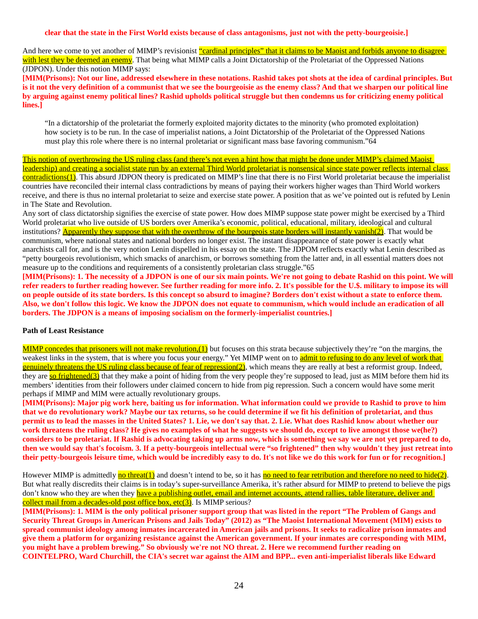#### **clear that the state in the First World exists because of class antagonisms, just not with the petty-bourgeoisie.]**

And here we come to yet another of MIMP's revisionist "cardinal principles" that it claims to be Maoist and forbids anyone to disagree with lest they be deemed an enemy. That being what MIMP calls a Joint Dictatorship of the Proletariat of the Oppressed Nations (JDPON). Under this notion MIMP says:

**[MIM(Prisons): Not our line, addressed elsewhere in these notations. Rashid takes pot shots at the idea of cardinal principles. But is it not the very definition of a communist that we see the bourgeoisie as the enemy class? And that we sharpen our political line by arguing against enemy political lines? Rashid upholds political struggle but then condemns us for criticizing enemy political lines.]**

"In a dictatorship of the proletariat the formerly exploited majority dictates to the minority (who promoted exploitation) how society is to be run. In the case of imperialist nations, a Joint Dictatorship of the Proletariat of the Oppressed Nations must play this role where there is no internal proletariat or significant mass base favoring communism."64

This notion of overthrowing the US ruling class (and there's not even a hint how that might be done under MIMP's claimed Maoist leadership) and creating a socialist state run by an external Third World proletariat is nonsensical since state power reflects internal class contradictions(1). This absurd JDPON theory is predicated on MIMP's line that there is no First World proletariat because the imperialist countries have reconciled their internal class contradictions by means of paying their workers higher wages than Third World workers receive, and there is thus no internal proletariat to seize and exercise state power. A position that as we've pointed out is refuted by Lenin in The State and Revolution.

Any sort of class dictatorship signifies the exercise of state power. How does MIMP suppose state power might be exercised by a Third World proletariat who live outside of US borders over Amerika's economic, political, educational, military, ideological and cultural institutions? **Apparently they suppose that with the overthrow of the bourgeois state borders will instantly vanish(2)**. That would be communism, where national states and national borders no longer exist. The instant disappearance of state power is exactly what anarchists call for, and is the very notion Lenin dispelled in his essay on the state. The JDPOM reflects exactly what Lenin described as "petty bourgeois revolutionism, which smacks of anarchism, or borrows something from the latter and, in all essential matters does not measure up to the conditions and requirements of a consistently proletarian class struggle."65

**[MIM(Prisons): 1. The necessity of a JDPON is one of our six main points. We're not going to debate Rashid on this point. We will refer readers to further reading however. See further reading for more info. 2. It's possible for the U.\$. military to impose its will on people outside of its state borders. Is this concept so absurd to imagine? Borders don't exist without a state to enforce them. Also, we don't follow this logic. We know the JDPON does not equate to communism, which would include an eradication of all borders. The JDPON is a means of imposing socialism on the formerly-imperialist countries.]**

## **Path of Least Resistance**

MIMP concedes that prisoners will not make revolution.(1) but focuses on this strata because subjectively they're "on the margins, the weakest links in the system, that is where you focus your energy." Yet MIMP went on to admit to refusing to do any level of work that genuinely threatens the US ruling class because of fear of repression(2), which means they are really at best a reformist group. Indeed, they are so frightened(3) that they make a point of hiding from the very people they're supposed to lead, just as MIM before them hid its members' identities from their followers under claimed concern to hide from pig repression. Such a concern would have some merit perhaps if MIMP and MIM were actually revolutionary groups.

**[MIM(Prisons): Major pig work here, baiting us for information. What information could we provide to Rashid to prove to him that we do revolutionary work? Maybe our tax returns, so he could determine if we fit his definition of proletariat, and thus permit us to lead the masses in the United \$tates? 1. Lie, we don't say that. 2. Lie. What does Rashid know about whether our work threatens the ruling class? He gives no examples of what he suggests we should do, except to live amongst those we(he?) considers to be proletariat. If Rashid is advocating taking up arms now, which is something we say we are not yet prepared to do, then we would say that's focoism. 3. If a petty-bourgeois intellectual were "so frightened" then why wouldn't they just retreat into their petty-bourgeois leisure time, which would be incredibly easy to do. It's not like we do this work for fun or for recognition.]**

However MIMP is admittedly no threat(1) and doesn't intend to be, so it has no need to fear retribution and therefore no need to hide(2). But what really discredits their claims is in today's super-surveillance Amerika, it's rather absurd for MIMP to pretend to believe the pigs don't know who they are when they have a publishing outlet, email and internet accounts, attend rallies, table literature, deliver and collect mail from a decades-old post office box, etc(3). Is MIMP serious?

**[MIM(Prisons): 1. MIM is the only political prisoner support group that was listed in the report "The Problem of Gangs and Security Threat Groups in American Prisons and Jails Today" (2012) as "The Maoist International Movement (MIM) exists to spread communist ideology among inmates incarcerated in American jails and prisons. It seeks to radicalize prison inmates and give them a platform for organizing resistance against the American government. If your inmates are corresponding with MIM, you might have a problem brewing." So obviously we're not NO threat. 2. Here we recommend further reading on COINTELPRO, Ward Churchill, the CIA's secret war against the AIM and BPP... even anti-imperialist liberals like Edward**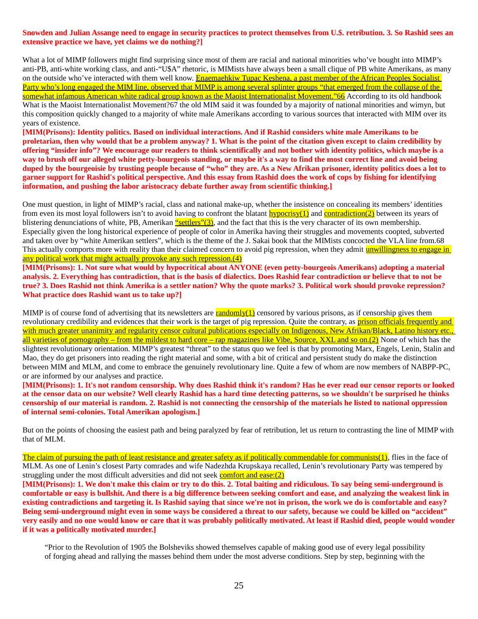## **Snowden and Julian Assange need to engage in security practices to protect themselves from U.\$. retribution. 3. So Rashid sees an extensive practice we have, yet claims we do nothing?]**

What a lot of MIMP followers might find surprising since most of them are racial and national minorities who've bought into MIMP's anti-PB, anti-white working class, and anti-"U\$A" rhetoric, is MIMists have always been a small clique of PB white Amerikans, as many on the outside who've interacted with them well know. Enaemaehkiw Tupac Keshena, a past member of the African Peoples Socialist Party who's long engaged the MIM line, observed that MIMP is among several splinter groups "that emerged from the collapse of the somewhat infamous American white radical group known as the Maoist Internationalist Movement."66 According to its old handbook What is the Maoist Internationalist Movement?67 the old MIM said it was founded by a majority of national minorities and wimyn, but this composition quickly changed to a majority of white male Amerikans according to various sources that interacted with MIM over its years of existence.

**[MIM(Prisons): Identity politics. Based on individual interactions. And if Rashid considers white male Amerikans to be proletarian, then why would that be a problem anyway? 1. What is the point of the citation given except to claim credibility by offering "insider info"? We encourage our readers to think scientifically and not bother with identity politics, which maybe is a way to brush off our alleged white petty-bourgeois standing, or maybe it's a way to find the most correct line and avoid being duped by the bourgeoisie by trusting people because of "who" they are. As a New Afrikan prisoner, identity politics does a lot to garner support for Rashid's political perspective. And this essay from Rashid does the work of cops by fishing for identifying information, and pushing the labor aristocracy debate further away from scientific thinking.]**

One must question, in light of MIMP's racial, class and national make-up, whether the insistence on concealing its members' identities from even its most loyal followers isn't to avoid having to confront the blatant  $\frac{hypocrisy(1)}{hypocrisy(1)}$  and  $\frac{continuation(2)}{equation(2)}$  between its years of blistering denunciations of white, PB, Amerikan "settlers"(3), and the fact that this is the very character of its own membership. Especially given the long historical experience of people of color in Amerika having their struggles and movements coopted, subverted and taken over by "white Amerikan settlers", which is the theme of the J. Sakai book that the MIMists concocted the VLA line from.68 This actually comports more with reality than their claimed concern to avoid pig repression, when they admit **unwillingness to engage in** any political work that might actually provoke any such repression.(4)

**[MIM(Prisons): 1. Not sure what would by hypocritical about ANYONE (even petty-bourgeois Amerikans) adopting a material analysis. 2. Everything has contradiction, that is the basis of dialectics. Does Rashid fear contradiction or believe that to not be true? 3. Does Rashid not think Amerika is a settler nation? Why the quote marks? 3. Political work should provoke repression? What practice does Rashid want us to take up?]**

MIMP is of course fond of advertising that its newsletters are  $\frac{r_{\text{and}}}{1}$  censored by various prisons, as if censorship gives them revolutionary credibility and evidences that their work is the target of pig repression. Quite the contrary, as **prison officials frequently and** with much greater unanimity and regularity censor cultural publications especially on Indigenous, New Afrikan/Black, Latino history etc., all varieties of pornography – from the mildest to hard core – rap magazines like Vibe, Source, XXL and so on.(2) None of which has the slightest revolutionary orientation. MIMP's greatest "threat" to the status quo we feel is that by promoting Marx, Engels, Lenin, Stalin and Mao, they do get prisoners into reading the right material and some, with a bit of critical and persistent study do make the distinction between MIM and MLM, and come to embrace the genuinely revolutionary line. Quite a few of whom are now members of NABPP-PC, or are informed by our analyses and practice.

**[MIM(Prisons): 1. It's not random censorship. Why does Rashid think it's random? Has he ever read our censor reports or looked at the censor data on our website? Well clearly Rashid has a hard time detecting patterns, so we shouldn't be surprised he thinks censorship of our material is random. 2. Rashid is not connecting the censorship of the materials he listed to national oppression of internal semi-colonies. Total Amerikan apologism.]** 

But on the points of choosing the easiest path and being paralyzed by fear of retribution, let us return to contrasting the line of MIMP with that of MLM.

The claim of pursuing the path of least resistance and greater safety as if politically commendable for communists(1), flies in the face of MLM. As one of Lenin's closest Party comrades and wife Nadezhda Krupskaya recalled, Lenin's revolutionary Party was tempered by struggling under the most difficult adversities and did not seek  $\frac{\text{comfort and ease:} (2)}{\text{comfort}}$ 

**[MIM(Prisons): 1. We don't make this claim or try to do this. 2. Total baiting and ridiculous. To say being semi-underground is comfortable or easy is bullshit. And there is a big difference between seeking comfort and ease, and analyzing the weakest link in existing contradictions and targeting it. Is Rashid saying that since we're not in prison, the work we do is comfortable and easy? Being semi-underground might even in some ways be considered a threat to our safety, because we could be killed on "accident" very easily and no one would know or care that it was probably politically motivated. At least if Rashid died, people would wonder if it was a politically motivated murder.]**

"Prior to the Revolution of 1905 the Bolsheviks showed themselves capable of making good use of every legal possibility of forging ahead and rallying the masses behind them under the most adverse conditions. Step by step, beginning with the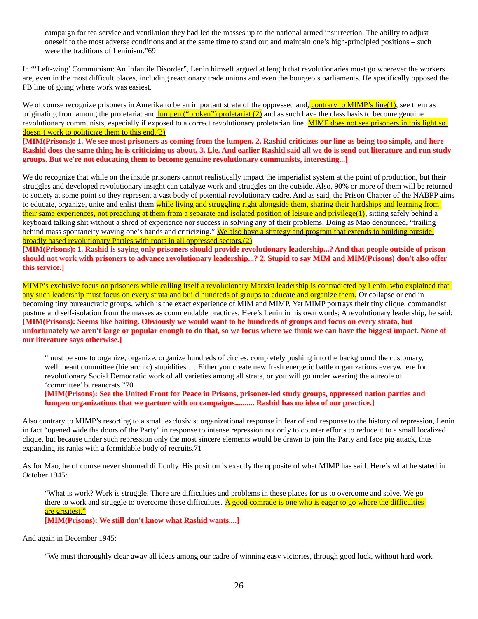campaign for tea service and ventilation they had led the masses up to the national armed insurrection. The ability to adjust oneself to the most adverse conditions and at the same time to stand out and maintain one's high-principled positions – such were the traditions of Leninism."69

In "'Left-wing' Communism: An Infantile Disorder", Lenin himself argued at length that revolutionaries must go wherever the workers are, even in the most difficult places, including reactionary trade unions and even the bourgeois parliaments. He specifically opposed the PB line of going where work was easiest.

We of course recognize prisoners in Amerika to be an important strata of the oppressed and, **contrary to MIMP's line(1)**, see them as originating from among the proletariat and  $l$ umpen ("broken") proletariat, $(2)$  and as such have the class basis to become genuine revolutionary communists, especially if exposed to a correct revolutionary proletarian line. **MIMP does not see prisoners in this light so** doesn't work to politicize them to this end.(3)

**[MIM(Prisons): 1. We see most prisoners as coming from the lumpen. 2. Rashid criticizes our line as being too simple, and here Rashid does the same thing he is criticizing us about. 3. Lie. And earlier Rashid said all we do is send out literature and run study groups. But we're not educating them to become genuine revolutionary communists, interesting...]**

We do recognize that while on the inside prisoners cannot realistically impact the imperialist system at the point of production, but their struggles and developed revolutionary insight can catalyze work and struggles on the outside. Also, 90% or more of them will be returned to society at some point so they represent a vast body of potential revolutionary cadre. And as said, the Prison Chapter of the NABPP aims to educate, organize, unite and enlist them while living and struggling right alongside them, sharing their hardships and learning from their same experiences, not preaching at them from a separate and isolated position of leisure and privilege(1), sitting safely behind a keyboard talking shit without a shred of experience nor success in solving any of their problems. Doing as Mao denounced, "trailing behind mass spontaneity waving one's hands and criticizing." We also have a strategy and program that extends to building outside broadly based revolutionary Parties with roots in all oppressed sectors.(2)

**[MIM(Prisons): 1. Rashid is saying only prisoners should provide revolutionary leadership...? And that people outside of prison should not work with prisoners to advance revolutionary leadership...? 2. Stupid to say MIM and MIM(Prisons) don't also offer this service.]**

MIMP's exclusive focus on prisoners while calling itself a revolutionary Marxist leadership is contradicted by Lenin, who explained that any such leadership must focus on every strata and build hundreds of groups to educate and organize them. Or collapse or end in becoming tiny bureaucratic groups, which is the exact experience of MIM and MIMP. Yet MIMP portrays their tiny clique, commandist posture and self-isolation from the masses as commendable practices. Here's Lenin in his own words; A revolutionary leadership, he said: **[MIM(Prisons): Seems like baiting. Obviously we would want to be hundreds of groups and focus on every strata, but unfortunately we aren't large or popular enough to do that, so we focus where we think we can have the biggest impact. None of our literature says otherwise.]**

"must be sure to organize, organize, organize hundreds of circles, completely pushing into the background the customary, well meant committee (hierarchic) stupidities … Either you create new fresh energetic battle organizations everywhere for revolutionary Social Democratic work of all varieties among all strata, or you will go under wearing the aureole of 'committee' bureaucrats."70

**[MIM(Prisons): See the United Front for Peace in Prisons, prisoner-led study groups, oppressed nation parties and lumpen organizations that we partner with on campaigns.......... Rashid has no idea of our practice.]**

Also contrary to MIMP's resorting to a small exclusivist organizational response in fear of and response to the history of repression, Lenin in fact "opened wide the doors of the Party" in response to intense repression not only to counter efforts to reduce it to a small localized clique, but because under such repression only the most sincere elements would be drawn to join the Party and face pig attack, thus expanding its ranks with a formidable body of recruits.71

As for Mao, he of course never shunned difficulty. His position is exactly the opposite of what MIMP has said. Here's what he stated in October 1945:

"What is work? Work is struggle. There are difficulties and problems in these places for us to overcome and solve. We go there to work and struggle to overcome these difficulties. A good comrade is one who is eager to go where the difficulties are greatest."

**[MIM(Prisons): We still don't know what Rashid wants....]**

And again in December 1945:

"We must thoroughly clear away all ideas among our cadre of winning easy victories, through good luck, without hard work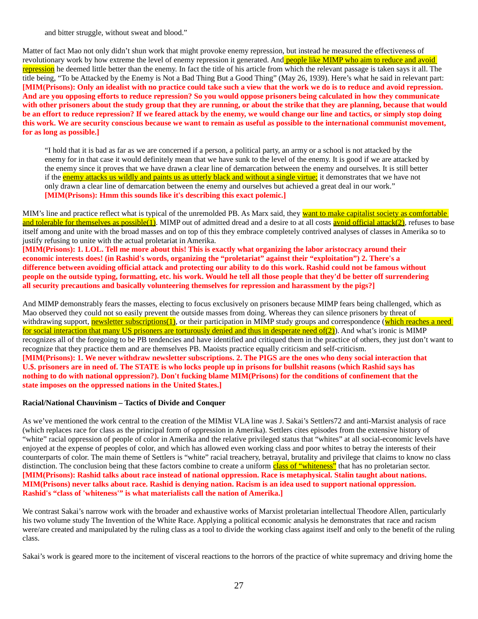and bitter struggle, without sweat and blood."

Matter of fact Mao not only didn't shun work that might provoke enemy repression, but instead he measured the effectiveness of revolutionary work by how extreme the level of enemy repression it generated. And **people like MIMP who aim to reduce and avoid** repression he deemed little better than the enemy. In fact the title of his article from which the relevant passage is taken says it all. The title being, "To be Attacked by the Enemy is Not a Bad Thing But a Good Thing" (May 26, 1939). Here's what he said in relevant part: **[MIM(Prisons): Only an idealist with no practice could take such a view that the work we do is to reduce and avoid repression. And are you opposing efforts to reduce repression? So you would oppose prisoners being calculated in how they communicate with other prisoners about the study group that they are running, or about the strike that they are planning, because that would be an effort to reduce repression? If we feared attack by the enemy, we would change our line and tactics, or simply stop doing this work. We are security conscious because we want to remain as useful as possible to the international communist movement, for as long as possible.]**

"I hold that it is bad as far as we are concerned if a person, a political party, an army or a school is not attacked by the enemy for in that case it would definitely mean that we have sunk to the level of the enemy. It is good if we are attacked by the enemy since it proves that we have drawn a clear line of demarcation between the enemy and ourselves. It is still better if the **enemy attacks us wildly and paints us as utterly black and without a single virtue;** it demonstrates that we have not only drawn a clear line of demarcation between the enemy and ourselves but achieved a great deal in our work." **[MIM(Prisons): Hmm this sounds like it's describing this exact polemic.]**

MIM's line and practice reflect what is typical of the unremolded PB. As Marx said, they want to make capitalist society as comfortable and tolerable for themselves as possible(1). MIMP out of admitted dread and a desire to at all costs avoid official attack(2), refuses to base itself among and unite with the broad masses and on top of this they embrace completely contrived analyses of classes in Amerika so to justify refusing to unite with the actual proletariat in Amerika.

**[MIM(Prisons): 1. LOL. Tell me more about this! This is exactly what organizing the labor aristocracy around their economic interests does! (in Rashid's words, organizing the "proletariat" against their "exploitation") 2. There's a difference between avoiding official attack and protecting our ability to do this work. Rashid could not be famous without people on the outside typing, formatting, etc. his work. Would he tell all those people that they'd be better off surrendering all security precautions and basically volunteering themselves for repression and harassment by the pigs?]**

And MIMP demonstrably fears the masses, electing to focus exclusively on prisoners because MIMP fears being challenged, which as Mao observed they could not so easily prevent the outside masses from doing. Whereas they can silence prisoners by threat of withdrawing support, newsletter subscriptions(1), or their participation in MIMP study groups and correspondence (which reaches a need for social interaction that many US prisoners are torturously denied and thus in desperate need of(2)</u>). And what's ironic is MIMP recognizes all of the foregoing to be PB tendencies and have identified and critiqued them in the practice of others, they just don't want to recognize that they practice them and are themselves PB. Maoists practice equally criticism and self-criticism. **[MIM(Prisons): 1. We never withdraw newsletter subscriptions. 2. The PIGS are the ones who deny social interaction that U.\$. prisoners are in need of. The STATE is who locks people up in prisons for bullshit reasons (which Rashid says has nothing to do with national oppression?). Don't fucking blame MIM(Prisons) for the conditions of confinement that the state imposes on the oppressed nations in the United \$tates.]**

## **Racial/National Chauvinism – Tactics of Divide and Conquer**

As we've mentioned the work central to the creation of the MIMist VLA line was J. Sakai's Settlers72 and anti-Marxist analysis of race (which replaces race for class as the principal form of oppression in Amerika). Settlers cites episodes from the extensive history of "white" racial oppression of people of color in Amerika and the relative privileged status that "whites" at all social-economic levels have enjoyed at the expense of peoples of color, and which has allowed even working class and poor whites to betray the interests of their counterparts of color. The main theme of Settlers is "white" racial treachery, betrayal, brutality and privilege that claims to know no class distinction. The conclusion being that these factors combine to create a uniform class of "whiteness" that has no proletarian sector. **[MIM(Prisons): Rashid talks about race instead of national oppression. Race is metaphysical. Stalin taught about nations. MIM(Prisons) never talks about race. Rashid is denying nation. Racism is an idea used to support national oppression. Rashid's "class of 'whiteness'" is what materialists call the nation of Amerika.]**

We contrast Sakai's narrow work with the broader and exhaustive works of Marxist proletarian intellectual Theodore Allen, particularly his two volume study The Invention of the White Race. Applying a political economic analysis he demonstrates that race and racism were/are created and manipulated by the ruling class as a tool to divide the working class against itself and only to the benefit of the ruling class.

Sakai's work is geared more to the incitement of visceral reactions to the horrors of the practice of white supremacy and driving home the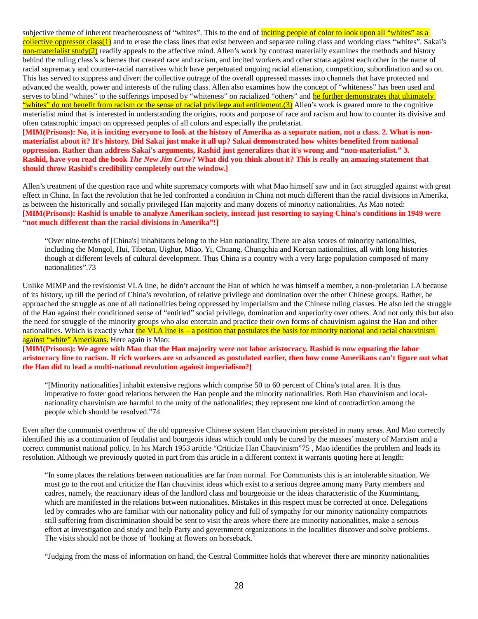subjective theme of inherent treacherousness of "whites". This to the end of **inciting people of color to look upon all "whites" as a** collective oppressor class(1) and to erase the class lines that exist between and separate ruling class and working class "whites". Sakai's  $non-materialist study(2)$  readily appeals to the affective mind. Allen's work by contrast materially examines the methods and history behind the ruling class's schemes that created race and racism, and incited workers and other strata against each other in the name of racial supremacy and counter-racial narratives which have perpetuated ongoing racial alienation, competition, subordination and so on. This has served to suppress and divert the collective outrage of the overall oppressed masses into channels that have protected and advanced the wealth, power and interests of the ruling class. Allen also examines how the concept of "whiteness" has been used and serves to blind "whites" to the sufferings imposed by "whiteness" on racialized "others" and he further demonstrates that ultimately "whites" do not benefit from racism or the sense of racial privilege and entitlement.(3) Allen's work is geared more to the cognitive materialist mind that is interested in understanding the origins, roots and purpose of race and racism and how to counter its divisive and often catastrophic impact on oppressed peoples of all colors and especially the proletariat. **[MIM(Prisons): No, it is inciting everyone to look at the history of Amerika as a separate nation, not a class. 2. What is nonmaterialist about it? It's history. Did Sakai just make it all up? Sakai demonstrated how whites benefited from national oppression. Rather than address Sakai's arguments, Rashid just generalizes that it's wrong and "non-materialist." 3.** 

**Rashid, have you read the book** *The New Jim Crow***? What did you think about it? This is really an amazing statement that should throw Rashid's credibility completely out the window.]**

Allen's treatment of the question race and white supremacy comports with what Mao himself saw and in fact struggled against with great effect in China. In fact the revolution that he led confronted a condition in China not much different than the racial divisions in Amerika, as between the historically and socially privileged Han majority and many dozens of minority nationalities. As Mao noted: **[MIM(Prisons): Rashid is unable to analyze Amerikan society, instead just resorting to saying China's conditions in 1949 were "not much different than the racial divisions in Amerika"!]**

"Over nine-tenths of [China's] inhabitants belong to the Han nationality. There are also scores of minority nationalities, including the Mongol, Hui, Tibetan, Uighur, Miao, Yi, Chuang, Chungchia and Korean nationalities, all with long histories though at different levels of cultural development. Thus China is a country with a very large population composed of many nationalities".73

Unlike MIMP and the revisionist VLA line, he didn't account the Han of which he was himself a member, a non-proletarian LA because of its history, up till the period of China's revolution, of relative privilege and domination over the other Chinese groups. Rather, he approached the struggle as one of all nationalities being oppressed by imperialism and the Chinese ruling classes. He also led the struggle of the Han against their conditioned sense of "entitled" social privilege, domination and superiority over others. And not only this but also the need for struggle of the minority groups who also entertain and practice their own forms of chauvinism against the Han and other nationalities. Which is exactly what *the VLA line is – a position that postulates the basis for minority national and racial chauvinism* against "white" Amerikans. Here again is Mao:

**[MIM(Prisons): We agree with Mao that the Han majority were not labor aristocracy. Rashid is now equating the labor aristocracy line to racism. If rich workers are so advanced as postulated earlier, then how come Amerikans can't figure out what the Han did to lead a multi-national revolution against imperialism?]**

"[Minority nationalities] inhabit extensive regions which comprise 50 to 60 percent of China's total area. It is thus imperative to foster good relations between the Han people and the minority nationalities. Both Han chauvinism and localnationality chauvinism are harmful to the unity of the nationalities; they represent one kind of contradiction among the people which should be resolved."74

Even after the communist overthrow of the old oppressive Chinese system Han chauvinism persisted in many areas. And Mao correctly identified this as a continuation of feudalist and bourgeois ideas which could only be cured by the masses' mastery of Marxism and a correct communist national policy. In his March 1953 article "Criticize Han Chauvinism"75 , Mao identifies the problem and leads its resolution. Although we previously quoted in part from this article in a different context it warrants quoting here at length:

"In some places the relations between nationalities are far from normal. For Communists this is an intolerable situation. We must go to the root and criticize the Han chauvinist ideas which exist to a serious degree among many Party members and cadres, namely, the reactionary ideas of the landlord class and bourgeoisie or the ideas characteristic of the Kuomintang, which are manifested in the relations between nationalities. Mistakes in this respect must be corrected at once. Delegations led by comrades who are familiar with our nationality policy and full of sympathy for our minority nationality compatriots still suffering from discrimination should be sent to visit the areas where there are minority nationalities, make a serious effort at investigation and study and help Party and government organizations in the localities discover and solve problems. The visits should not be those of 'looking at flowers on horseback.'

"Judging from the mass of information on hand, the Central Committee holds that wherever there are minority nationalities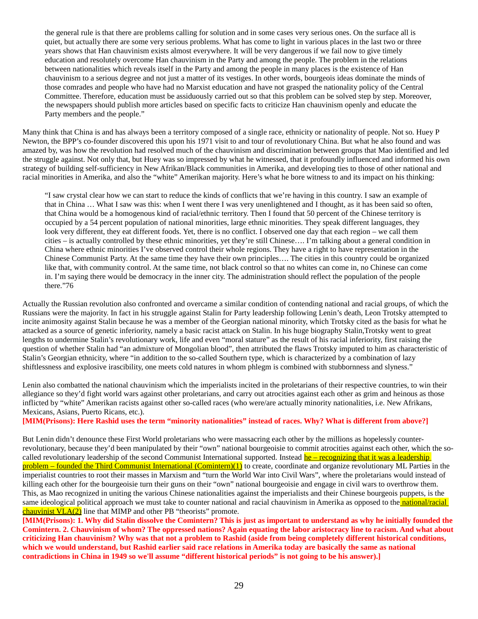the general rule is that there are problems calling for solution and in some cases very serious ones. On the surface all is quiet, but actually there are some very serious problems. What has come to light in various places in the last two or three years shows that Han chauvinism exists almost everywhere. It will be very dangerous if we fail now to give timely education and resolutely overcome Han chauvinism in the Party and among the people. The problem in the relations between nationalities which reveals itself in the Party and among the people in many places is the existence of Han chauvinism to a serious degree and not just a matter of its vestiges. In other words, bourgeois ideas dominate the minds of those comrades and people who have had no Marxist education and have not grasped the nationality policy of the Central Committee. Therefore, education must be assiduously carried out so that this problem can be solved step by step. Moreover, the newspapers should publish more articles based on specific facts to criticize Han chauvinism openly and educate the Party members and the people."

Many think that China is and has always been a territory composed of a single race, ethnicity or nationality of people. Not so. Huey P Newton, the BPP's co-founder discovered this upon his 1971 visit to and tour of revolutionary China. But what he also found and was amazed by, was how the revolution had resolved much of the chauvinism and discrimination between groups that Mao identified and led the struggle against. Not only that, but Huey was so impressed by what he witnessed, that it profoundly influenced and informed his own strategy of building self-sufficiency in New Afrikan/Black communities in Amerika, and developing ties to those of other national and racial minorities in Amerika, and also the "white" Amerikan majority. Here's what he bore witness to and its impact on his thinking:

"I saw crystal clear how we can start to reduce the kinds of conflicts that we're having in this country. I saw an example of that in China … What I saw was this: when I went there I was very unenlightened and I thought, as it has been said so often, that China would be a homogenous kind of racial/ethnic territory. Then I found that 50 percent of the Chinese territory is occupied by a 54 percent population of national minorities, large ethnic minorities. They speak different languages, they look very different, they eat different foods. Yet, there is no conflict. I observed one day that each region – we call them cities – is actually controlled by these ethnic minorities, yet they're still Chinese…. I'm talking about a general condition in China where ethnic minorities I've observed control their whole regions. They have a right to have representation in the Chinese Communist Party. At the same time they have their own principles…. The cities in this country could be organized like that, with community control. At the same time, not black control so that no whites can come in, no Chinese can come in. I'm saying there would be democracy in the inner city. The administration should reflect the population of the people there."76

Actually the Russian revolution also confronted and overcame a similar condition of contending national and racial groups, of which the Russians were the majority. In fact in his struggle against Stalin for Party leadership following Lenin's death, Leon Trotsky attempted to incite animosity against Stalin because he was a member of the Georgian national minority, which Trotsky cited as the basis for what he attacked as a source of genetic inferiority, namely a basic racist attack on Stalin. In his huge biography Stalin,Trotsky went to great lengths to undermine Stalin's revolutionary work, life and even "moral stature" as the result of his racial inferiority, first raising the question of whether Stalin had "an admixture of Mongolian blood", then attributed the flaws Trotsky imputed to him as characteristic of Stalin's Georgian ethnicity, where "in addition to the so-called Southern type, which is characterized by a combination of lazy shiftlessness and explosive irascibility, one meets cold natures in whom phlegm is combined with stubbornness and slyness."

Lenin also combatted the national chauvinism which the imperialists incited in the proletarians of their respective countries, to win their allegiance so they'd fight world wars against other proletarians, and carry out atrocities against each other as grim and heinous as those inflicted by "white" Amerikan racists against other so-called races (who were/are actually minority nationalities, i.e. New Afrikans, Mexicans, Asians, Puerto Ricans, etc.).

**[MIM(Prisons): Here Rashid uses the term "minority nationalities" instead of races. Why? What is different from above?]**

But Lenin didn't denounce these First World proletarians who were massacring each other by the millions as hopelessly counterrevolutionary, because they'd been manipulated by their "own" national bourgeoisie to commit atrocities against each other, which the socalled revolutionary leadership of the second Communist International supported. Instead he – recognizing that it was a leadership  $problem - founded the Third Communist International (Comintern)(1)$  to create, coordinate and organize revolutionary ML Parties in the imperialist countries to root their masses in Marxism and "turn the World War into Civil Wars", where the proletarians would instead of killing each other for the bourgeoisie turn their guns on their "own" national bourgeoisie and engage in civil wars to overthrow them. This, as Mao recognized in uniting the various Chinese nationalities against the imperialists and their Chinese bourgeois puppets, is the same ideological political approach we must take to counter national and racial chauvinism in Amerika as opposed to the national/racial chauvinist VLA(2) line that MIMP and other PB "theorists" promote.

**[MIM(Prisons): 1. Why did Stalin dissolve the Comintern? This is just as important to understand as why he initially founded the Comintern. 2. Chauvinism of whom? The oppressed nations? Again equating the labor aristocracy line to racism. And what about criticizing Han chauvinism? Why was that not a problem to Rashid (aside from being completely different historical conditions, which we would understand, but Rashid earlier said race relations in Amerika today are basically the same as national contradictions in China in 1949 so we'll assume "different historical periods" is not going to be his answer).]**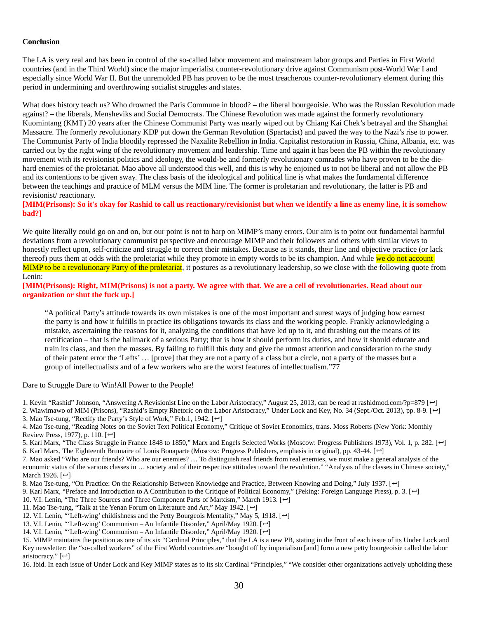#### **Conclusion**

The LA is very real and has been in control of the so-called labor movement and mainstream labor groups and Parties in First World countries (and in the Third World) since the major imperialist counter-revolutionary drive against Communism post-World War I and especially since World War II. But the unremolded PB has proven to be the most treacherous counter-revolutionary element during this period in undermining and overthrowing socialist struggles and states.

What does history teach us? Who drowned the Paris Commune in blood? – the liberal bourgeoisie. Who was the Russian Revolution made against? – the liberals, Mensheviks and Social Democrats. The Chinese Revolution was made against the formerly revolutionary Kuomintang (KMT) 20 years after the Chinese Communist Party was nearly wiped out by Chiang Kai Chek's betrayal and the Shanghai Massacre. The formerly revolutionary KDP put down the German Revolution (Spartacist) and paved the way to the Nazi's rise to power. The Communist Party of India bloodily repressed the Naxalite Rebellion in India. Capitalist restoration in Russia, China, Albania, etc. was carried out by the right wing of the revolutionary movement and leadership. Time and again it has been the PB within the revolutionary movement with its revisionist politics and ideology, the would-be and formerly revolutionary comrades who have proven to be the diehard enemies of the proletariat. Mao above all understood this well, and this is why he enjoined us to not be liberal and not allow the PB and its contentions to be given sway. The class basis of the ideological and political line is what makes the fundamental difference between the teachings and practice of MLM versus the MIM line. The former is proletarian and revolutionary, the latter is PB and revisionist/ reactionary.

## **[MIM(Prisons): So it's okay for Rashid to call us reactionary/revisionist but when we identify a line as enemy line, it is somehow bad?]**

We quite literally could go on and on, but our point is not to harp on MIMP's many errors. Our aim is to point out fundamental harmful deviations from a revolutionary communist perspective and encourage MIMP and their followers and others with similar views to honestly reflect upon, self-criticize and struggle to correct their mistakes. Because as it stands, their line and objective practice (or lack thereof) puts them at odds with the proletariat while they promote in empty words to be its champion. And while we do not account MIMP to be a revolutionary Party of the proletariat, it postures as a revolutionary leadership, so we close with the following quote from Lenin:

**[MIM(Prisons): Right, MIM(Prisons) is not a party. We agree with that. We are a cell of revolutionaries. Read about our organization or shut the fuck up.]**

"A political Party's attitude towards its own mistakes is one of the most important and surest ways of judging how earnest the party is and how it fulfills in practice its obligations towards its class and the working people. Frankly acknowledging a mistake, ascertaining the reasons for it, analyzing the conditions that have led up to it, and thrashing out the means of its rectification – that is the hallmark of a serious Party; that is how it should perform its duties, and how it should educate and train its class, and then the masses. By failing to fulfill this duty and give the utmost attention and consideration to the study of their patent error the 'Lefts' … [prove] that they are not a party of a class but a circle, not a party of the masses but a group of intellectualists and of a few workers who are the worst features of intellectualism."77

Dare to Struggle Dare to Win!All Power to the People!

1. Kevin "Rashid" Johnson, "Answering A Revisionist Line on the Labor Aristocracy," August 25, 2013, can be read at rashidmod.com/?p=879 [ $\leftrightarrow$ ]

2. Wiawimawo of MIM (Prisons), "Rashid's Empty Rhetoric on the Labor Aristocracy," Under Lock and Key, No. 34 (Sept./Oct. 2013), pp. 8-9. [ $\leftrightarrow$ ]

- 3. Mao Tse-tung, "Rectify the Party's Style of Work," Feb.1, 1942.  $\left[\leftarrow\right]$
- 4. Mao Tse-tung, "Reading Notes on the Soviet Text Political Economy," Critique of Soviet Economics, trans. Moss Roberts (New York: Monthly Review Press, 1977), p. 110.  $[\leftarrow]$
- 5. Karl Marx, "The Class Struggle in France 1848 to 1850," Marx and Engels Selected Works (Moscow: Progress Publishers 1973), Vol. 1, p. 282. [ $\leftrightarrow$ ] 6. Karl Marx, The Eighteenth Brumaire of Louis Bonaparte (Moscow: Progress Publishers, emphasis in original), pp. 43-44. [ $\leftarrow$ ]

7. Mao asked "Who are our friends? Who are our enemies? … To distinguish real friends from real enemies, we must make a general analysis of the economic status of the various classes in … society and of their respective attitudes toward the revolution." "Analysis of the classes in Chinese society," March 1926.  $\lceil \rightleftarrows \rceil$ 

- 8. Mao Tse-tung, "On Practice: On the Relationship Between Knowledge and Practice, Between Knowing and Doing," July 1937. [  $\leftrightarrow$  ]
- 9. Karl Marx, "Preface and Introduction to A Contribution to the Critique of Political Economy," (Peking: Foreign Language Press), p. 3.  $[\leftarrow]$
- 10. V.I. Lenin, "The Three Sources and Three Component Parts of Marxism," March 1913.  $[\rightarrow]$
- 11. Mao Tse-tung, "Talk at the Yenan Forum on Literature and Art," May 1942.  $\left[\rightleftarrow\right]$
- 12. V.I. Lenin, "'Left-wing' childishness and the Petty Bourgeois Mentality," May 5, 1918. [ $\hookrightarrow$ ]
- 13. V.I. Lenin, "'Left-wing' Communism An Infantile Disorder," April/May 1920. [ $\leftrightarrow$ ]
- 14. V.I. Lenin, "'Left-wing' Communism An Infantile Disorder," April/May 1920. [ · ]

15. MIMP maintains the position as one of its six "Cardinal Principles," that the LA is a new PB, stating in the front of each issue of its Under Lock and Key newsletter: the "so-called workers" of the First World countries are "bought off by imperialism [and] form a new petty bourgeoisie called the labor aristocracy."  $[\leftarrow]$ 

16. Ibid. In each issue of Under Lock and Key MIMP states as to its six Cardinal "Principles," "We consider other organizations actively upholding these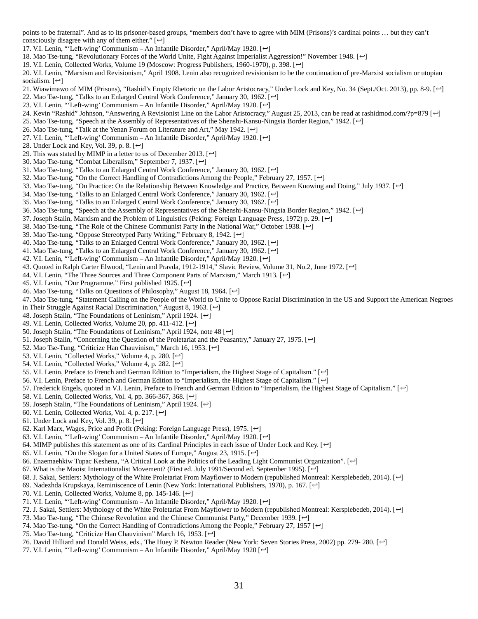points to be fraternal". And as to its prisoner-based groups, "members don't have to agree with MIM (Prisons)'s cardinal points … but they can't consciously disagree with any of them either."  $[\leftarrow]$ 

17. V.I. Lenin, "'Left-wing' Communism – An Infantile Disorder," April/May 1920.  $[\leftarrow]$ 

18. Mao Tse-tung, "Revolutionary Forces of the World Unite, Fight Against Imperialist Aggression!" November 1948. [ $\leftrightarrow$ ]

19. V.I. Lenin, Collected Works, Volume 19 (Moscow: Progress Publishers, 1960-1970), p. 398. [ $\leftarrow$ ]

20. V.I. Lenin, "Marxism and Revisionism," April 1908. Lenin also recognized revisionism to be the continuation of pre-Marxist socialism or utopian socialism.  $[\leftarrow]$ 

21. Wiawimawo of MIM (Prisons), "Rashid's Empty Rhetoric on the Labor Aristocracy," Under Lock and Key, No. 34 (Sept./Oct. 2013), pp. 8-9. [ $\leftrightarrow$ ] 22. Mao Tse-tung, "Talks to an Enlarged Central Work Conference," January 30, 1962.  $\left[\right.\leftarrow\right]$ 

- 23. V.I. Lenin, "'Left-wing' Communism An Infantile Disorder," April/May 1920.  $[\leftarrow]$
- 24. Kevin "Rashid" Johnson, "Answering A Revisionist Line on the Labor Aristocracy," August 25, 2013, can be read at rashidmod.com/?p=879 [ $\leftrightarrow$ ]
- 25. Mao Tse-tung, "Speech at the Assembly of Representatives of the Shenshi-Kansu-Ningsia Border Region," 1942.  $[\leftarrow]$
- 26. Mao Tse-tung, "Talk at the Yenan Forum on Literature and Art," May 1942.  $[\leftarrow]$
- 27. V.I. Lenin, "'Left-wing' Communism An Infantile Disorder," April/May 1920.  $[\hookrightarrow]$
- 28. Under Lock and Key, Vol. 39, p. 8.  $\left[\rightarrow\right]$
- 29. This was stated by MIMP in a letter to us of December 2013.  $[\leftarrow]$
- 30. Mao Tse-tung, "Combat Liberalism," September 7, 1937.  $[\leftarrow]$
- 31. Mao Tse-tung, "Talks to an Enlarged Central Work Conference," January 30, 1962. [ $\leftarrow$ ]
- 32. Mao Tse-tung, "On the Correct Handling of Contradictions Among the People," February 27, 1957. [ $\leftrightarrow$ ]
- 33. Mao Tse-tung, "On Practice: On the Relationship Between Knowledge and Practice, Between Knowing and Doing," July 1937. [ $\leftrightarrow$ ]
- 34. Mao Tse-tung, "Talks to an Enlarged Central Work Conference," January 30, 1962. [ $\leftrightarrow$ ]
- 35. Mao Tse-tung, "Talks to an Enlarged Central Work Conference," January 30, 1962.  $[$   $\leftrightarrow$   $]$
- 36. Mao Tse-tung, "Speech at the Assembly of Representatives of the Shenshi-Kansu-Ningsia Border Region," 1942. [ $\leftrightarrow$ ]
- 37. Joseph Stalin, Marxism and the Problem of Linguistics (Peking: Foreign Language Press, 1972) p. 29.  $[\leftarrow]$
- 38. Mao Tse-tung, "The Role of the Chinese Communist Party in the National War," October 1938. [<]
- 39. Mao Tse-tung, "Oppose Stereotyped Party Writing," February 8, 1942. [ $\leftrightarrow$ ]
- 40. Mao Tse-tung, "Talks to an Enlarged Central Work Conference," January 30, 1962.  $[\rightarrow]$
- 41. Mao Tse-tung, "Talks to an Enlarged Central Work Conference," January 30, 1962.  $\boxed{\leftarrow}$
- 42. V.I. Lenin, "'Left-wing' Communism An Infantile Disorder," April/May 1920.  $[\leftarrow]$
- 43. Quoted in Ralph Carter Elwood, "Lenin and Pravda, 1912-1914," Slavic Review, Volume 31, No.2, June 1972.  $[\hookleftarrow]$
- 44. V.I. Lenin, "The Three Sources and Three Component Parts of Marxism," March 1913.  $\left[\right. \leftarrow \right]$
- 45. V.I. Lenin, "Our Programme." First published 1925.  $[$  $\leftrightarrow$  ]
- 46. Mao Tse-tung, "Talks on Questions of Philosophy," August 18, 1964.  $\left[\right.\leftarrow\right]$
- 47. Mao Tse-tung, "Statement Calling on the People of the World to Unite to Oppose Racial Discrimination in the US and Support the American Negroes
- in Their Struggle Against Racial Discrimination," August 8, 1963.  $[\rightarrow]$
- 48. Joseph Stalin, "The Foundations of Leninism," April 1924.  $[\rightarrow]$
- 49. V.I. Lenin, Collected Works, Volume 20, pp. 411-412.  $[\leftarrow]$
- 50. Joseph Stalin, "The Foundations of Leninism," April 1924, note 48  $\left\lfloor \right. \left. \left. \right\lfloor \right. \left. \left. \right\rfloor$
- 51. Joseph Stalin, "Concerning the Question of the Proletariat and the Peasantry," January 27, 1975.  $[$  $\leftrightarrow$  ]
- 52. Mao Tse-Tung, "Criticize Han Chauvinism," March 16, 1953.  $[\leftarrow]$
- 53. V.I. Lenin, "Collected Works," Volume 4, p. 280.  $[\leftarrow]$
- 54. V.I. Lenin, "Collected Works," Volume 4, p. 282.  $[\leftarrow]$
- 55. V.I. Lenin, Preface to French and German Edition to "Imperialism, the Highest Stage of Capitalism." [ $\leftrightarrow$ ]
- 56. V.I. Lenin, Preface to French and German Edition to "Imperialism, the Highest Stage of Capitalism." [ $\hookrightarrow$ ]
- 57. Frederick Engels, quoted in V.I. Lenin, Preface to French and German Edition to "Imperialism, the Highest Stage of Capitalism."  $[\leftarrow]$
- 58. V.I. Lenin, Collected Works, Vol. 4, pp. 366-367, 368. [ $\leftrightarrow$ ]
- 59. Joseph Stalin, "The Foundations of Leninism," April 1924.  $[\leftarrow]$
- 60. V.I. Lenin, Collected Works, Vol. 4, p. 217.  $[\rightarrow]$
- 61. Under Lock and Key, Vol. 39, p. 8.  $\left[\leftarrow\right]$
- 62. Karl Marx, Wages, Price and Profit (Peking: Foreign Language Press), 1975.  $[$  $\leftrightarrow$  ]
- 63. V.I. Lenin, "'Left-wing' Communism An Infantile Disorder," April/May 1920.  $[\leftarrow]$
- 64. MIMP publishes this statement as one of its Cardinal Principles in each issue of Under Lock and Key.  $[\leftarrow]$
- 65. V.I. Lenin, "On the Slogan for a United States of Europe," August 23, 1915.  $\left[\right.\leftarrow\right]$
- 66. Enaemaehkiw Tupac Keshena, "A Critical Look at the Politics of the Leading Light Communist Organization".  $[\leftarrow]$
- 67. What is the Maoist Internationalist Movement? (First ed. July 1991/Second ed. September 1995). [ $\leftarrow$ ]
- 68. J. Sakai, Settlers: Mythology of the White Proletariat From Mayflower to Modern (republished Montreal: Kersplebedeb, 2014). [ $\leftrightarrow$ ]
- 69. Nadezhda Krupskaya, Reminiscence of Lenin (New York: International Publishers, 1970), p. 167. [ $\leftrightarrow$ ]
- 70. V.I. Lenin, Collected Works, Volume 8, pp. 145-146.  $\left[\leftarrow\right]$
- 71. V.I. Lenin, "'Left-wing' Communism An Infantile Disorder," April/May 1920.  $[\rightarrow]$
- 72. J. Sakai, Settlers: Mythology of the White Proletariat From Mayflower to Modern (republished Montreal: Kersplebedeb, 2014). [ $\leftrightarrow$ ]
- 73. Mao Tse-tung, "The Chinese Revolution and the Chinese Communist Party," December 1939.  $\left[\right. \leftarrow \right]$
- 74. Mao Tse-tung, "On the Correct Handling of Contradictions Among the People," February 27, 1957  $\left[\right. \leftarrow$
- 75. Mao Tse-tung, "Criticize Han Chauvinism" March 16, 1953.  $[\leftarrow]$
- 76. David Hilliard and Donald Weiss, eds., The Huey P. Newton Reader (New York: Seven Stories Press, 2002) pp. 279- 280. [ $\leftarrow$ ]
- 77. V.I. Lenin, "'Left-wing' Communism An Infantile Disorder," April/May 1920  $[\rightarrow]$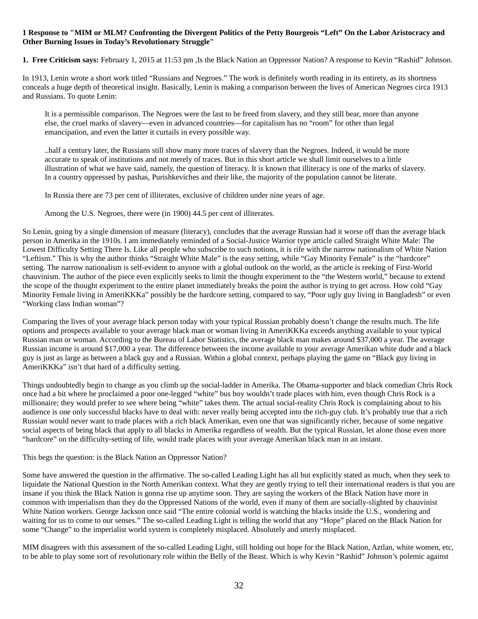## **1 Response to "MIM or MLM? Confronting the Divergent Politics of the Petty Bourgeois "Left" On the Labor Aristocracy and Other Burning Issues in Today's Revolutionary Struggle"**

**1. Free Criticism says:** February 1, 2015 at 11:53 pm ,Is the Black Nation an Oppressor Nation? A response to Kevin "Rashid" Johnson.

In 1913, Lenin wrote a short work titled "Russians and Negroes." The work is definitely worth reading in its entirety, as its shortness conceals a huge depth of theoretical insight. Basically, Lenin is making a comparison between the lives of American Negroes circa 1913 and Russians. To quote Lenin:

It is a permissible comparison. The Negroes were the last to be freed from slavery, and they still bear, more than anyone else, the cruel marks of slavery—even in advanced countries—for capitalism has no "room" for other than legal emancipation, and even the latter it curtails in every possible way.

..half a century later, the Russians still show many more traces of slavery than the Negroes. Indeed, it would be more accurate to speak of institutions and not merely of traces. But in this short article we shall limit ourselves to a little illustration of what we have said, namely, the question of literacy. It is known that illiteracy is one of the marks of slavery. In a country oppressed by pashas, Purishkeviches and their like, the majority of the population cannot be literate.

In Russia there are 73 per cent of illiterates, exclusive of children under nine years of age.

Among the U.S. Negroes, there were (in 1900) 44.5 per cent of illiterates.

So Lenin, going by a single dimension of measure (literacy), concludes that the average Russian had it worse off than the average black person in Amerika in the 1910s. I am immediately reminded of a Social-Justice Warrior type article called Straight White Male: The Lowest Difficulty Setting There Is. Like all people who subscribe to such notions, it is rife with the narrow nationalism of White Nation "Leftism." This is why the author thinks "Straight White Male" is the easy setting, while "Gay Minority Female" is the "hardcore" setting. The narrow nationalism is self-evident to anyone with a global outlook on the world, as the article is reeking of First-World chauvinism. The author of the piece even explicitly seeks to limit the thought experiment to the "the Western world," because to extend the scope of the thought experiment to the entire planet immediately breaks the point the author is trying to get across. How cold "Gay Minority Female living in AmeriKKKa" possibly be the hardcore setting, compared to say, "Poor ugly guy living in Bangladesh" or even "Working class Indian woman"?

Comparing the lives of your average black person today with your typical Russian probably doesn't change the results much. The life options and prospects available to your average black man or woman living in AmeriKKKa exceeds anything available to your typical Russian man or woman. According to the Bureau of Labor Statistics, the average black man makes around \$37,000 a year. The average Russian income is around \$17,000 a year. The difference between the income available to your average Amerikan white dude and a black guy is just as large as between a black guy and a Russian. Within a global context, perhaps playing the game on "Black guy living in AmeriKKKa" isn't that hard of a difficulty setting.

Things undoubtedly begin to change as you climb up the social-ladder in Amerika. The Obama-supporter and black comedian Chris Rock once had a bit where he proclaimed a poor one-legged "white" bus boy wouldn't trade places with him, even though Chris Rock is a millionaire; they would prefer to see where being "white" takes them. The actual social-reality Chris Rock is complaining about to his audience is one only successful blacks have to deal with: never really being accepted into the rich-guy club. It's probably true that a rich Russian would never want to trade places with a rich black Amerikan, even one that was significantly richer, because of some negative social aspects of being black that apply to all blacks in Amerika regardless of wealth. But the typical Russian, let alone those even more "hardcore" on the difficulty-setting of life, would trade places with your average Amerikan black man in an instant.

## This begs the question: is the Black Nation an Oppressor Nation?

Some have answered the question in the affirmative. The so-called Leading Light has all but explicitly stated as much, when they seek to liquidate the National Question in the North Amerikan context. What they are gently trying to tell their international readers is that you are insane if you think the Black Nation is gonna rise up anytime soon. They are saying the workers of the Black Nation have more in common with imperialism than they do the Oppressed Nations of the world, even if many of them are socially-slighted by chauvinist White Nation workers. George Jackson once said "The entire colonial world is watching the blacks inside the U.S., wondering and waiting for us to come to our senses." The so-called Leading Light is telling the world that any "Hope" placed on the Black Nation for some "Change" to the imperialist world system is completely misplaced. Absolutely and utterly misplaced.

MIM disagrees with this assessment of the so-called Leading Light, still holding out hope for the Black Nation, Aztlan, white women, etc, to be able to play some sort of revolutionary role within the Belly of the Beast. Which is why Kevin "Rashid" Johnson's polemic against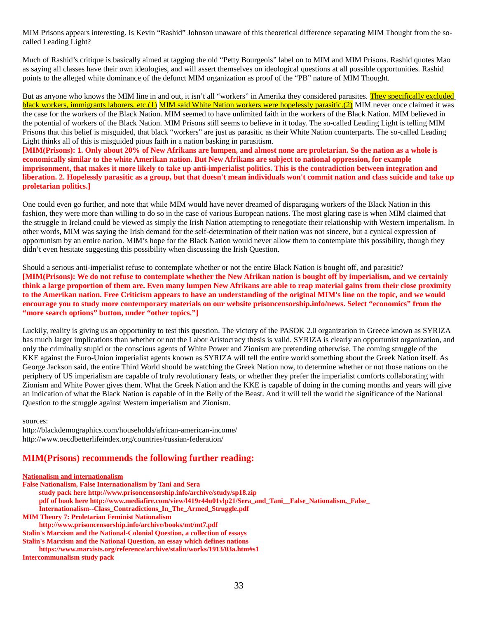MIM Prisons appears interesting. Is Kevin "Rashid" Johnson unaware of this theoretical difference separating MIM Thought from the socalled Leading Light?

Much of Rashid's critique is basically aimed at tagging the old "Petty Bourgeois" label on to MIM and MIM Prisons. Rashid quotes Mao as saying all classes have their own ideologies, and will assert themselves on ideological questions at all possible opportunities. Rashid points to the alleged white dominance of the defunct MIM organization as proof of the "PB" nature of MIM Thought.

But as anyone who knows the MIM line in and out, it isn't all "workers" in Amerika they considered parasites. They specifically excluded black workers, immigrants laborers, etc.(1) MIM said White Nation workers were hopelessly parasitic.(2) MIM never once claimed it was the case for the workers of the Black Nation. MIM seemed to have unlimited faith in the workers of the Black Nation. MIM believed in the potential of workers of the Black Nation. MIM Prisons still seems to believe in it today. The so-called Leading Light is telling MIM Prisons that this belief is misguided, that black "workers" are just as parasitic as their White Nation counterparts. The so-called Leading Light thinks all of this is misguided pious faith in a nation basking in parasitism.

**[MIM(Prisons): 1. Only about 20% of New Afrikans are lumpen, and almost none are proletarian. So the nation as a whole is economically similar to the white Amerikan nation. But New Afrikans are subject to national oppression, for example imprisonment, that makes it more likely to take up anti-imperialist politics. This is the contradiction between integration and liberation. 2. Hopelessly parasitic as a group, but that doesn't mean individuals won't commit nation and class suicide and take up proletarian politics.]**

One could even go further, and note that while MIM would have never dreamed of disparaging workers of the Black Nation in this fashion, they were more than willing to do so in the case of various European nations. The most glaring case is when MIM claimed that the struggle in Ireland could be viewed as simply the Irish Nation attempting to renegotiate their relationship with Western imperialism. In other words, MIM was saying the Irish demand for the self-determination of their nation was not sincere, but a cynical expression of opportunism by an entire nation. MIM's hope for the Black Nation would never allow them to contemplate this possibility, though they didn't even hesitate suggesting this possibility when discussing the Irish Question.

Should a serious anti-imperialist refuse to contemplate whether or not the entire Black Nation is bought off, and parasitic? **[MIM(Prisons): We do not refuse to contemplate whether the New Afrikan nation is bought off by imperialism, and we certainly think a large proportion of them are. Even many lumpen New Afrikans are able to reap material gains from their close proximity to the Amerikan nation. Free Criticism appears to have an understanding of the original MIM's line on the topic, and we would encourage you to study more contemporary materials on our website prisoncensorship.info/news. Select "economics" from the "more search options" button, under "other topics."]** 

Luckily, reality is giving us an opportunity to test this question. The victory of the PASOK 2.0 organization in Greece known as SYRIZA has much larger implications than whether or not the Labor Aristocracy thesis is valid. SYRIZA is clearly an opportunist organization, and only the criminally stupid or the conscious agents of White Power and Zionism are pretending otherwise. The coming struggle of the KKE against the Euro-Union imperialist agents known as SYRIZA will tell the entire world something about the Greek Nation itself. As George Jackson said, the entire Third World should be watching the Greek Nation now, to determine whether or not those nations on the periphery of US imperialism are capable of truly revolutionary feats, or whether they prefer the imperialist comforts collaborating with Zionism and White Power gives them. What the Greek Nation and the KKE is capable of doing in the coming months and years will give an indication of what the Black Nation is capable of in the Belly of the Beast. And it will tell the world the significance of the National Question to the struggle against Western imperialism and Zionism.

sources:

http://blackdemographics.com/households/african-american-income/ http://www.oecdbetterlifeindex.org/countries/russian-federation/

## **MIM(Prisons) recommends the following further reading:**

**Nationalism and internationalism False Nationalism, False Internationalism by Tani and Sera study pack here http://www.prisoncensorship.info/archive/study/sp18.zip pdf of book here http://www.mediafire.com/view/l419r44u01vlp21/Sera\_and\_Tani\_\_False\_Nationalism,\_False\_ Internationalism--Class\_Contradictions\_In\_The\_Armed\_Struggle.pdf MIM Theory 7: Proletarian Feminist Nationalism http://www.prisoncensorship.info/archive/books/mt/mt7.pdf Stalin's Marxism and the National-Colonial Question, a collection of essays Stalin's Marxism and the National Question, an essay which defines nations https://www.marxists.org/reference/archive/stalin/works/1913/03a.htm#s1 Intercommunalism study pack**